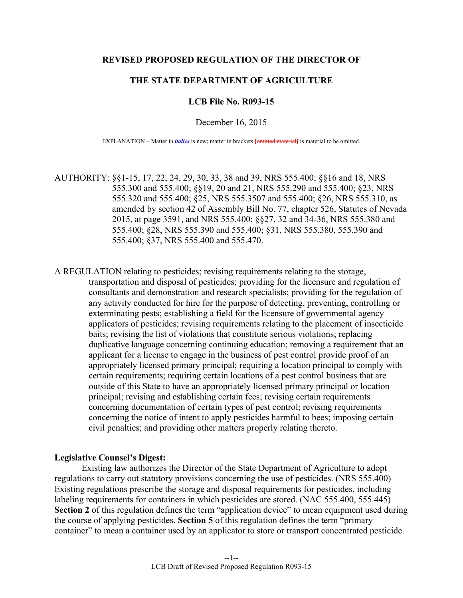### **REVISED PROPOSED REGULATION OF THE DIRECTOR OF**

# **THE STATE DEPARTMENT OF AGRICULTURE**

### **LCB File No. R093-15**

December 16, 2015

EXPLANATION – Matter in *italics* is new; matter in brackets **[**omitted material**]** is material to be omitted.

AUTHORITY: §§1-15, 17, 22, 24, 29, 30, 33, 38 and 39, NRS 555.400; §§16 and 18, NRS 555.300 and 555.400; §§19, 20 and 21, NRS 555.290 and 555.400; §23, NRS 555.320 and 555.400; §25, NRS 555.3507 and 555.400; §26, NRS 555.310, as amended by section 42 of Assembly Bill No. 77, chapter 526, Statutes of Nevada 2015, at page 3591, and NRS 555.400; §§27, 32 and 34-36, NRS 555.380 and 555.400; §28, NRS 555.390 and 555.400; §31, NRS 555.380, 555.390 and 555.400; §37, NRS 555.400 and 555.470.

A REGULATION relating to pesticides; revising requirements relating to the storage, transportation and disposal of pesticides; providing for the licensure and regulation of consultants and demonstration and research specialists; providing for the regulation of any activity conducted for hire for the purpose of detecting, preventing, controlling or exterminating pests; establishing a field for the licensure of governmental agency applicators of pesticides; revising requirements relating to the placement of insecticide baits; revising the list of violations that constitute serious violations; replacing duplicative language concerning continuing education; removing a requirement that an applicant for a license to engage in the business of pest control provide proof of an appropriately licensed primary principal; requiring a location principal to comply with certain requirements; requiring certain locations of a pest control business that are outside of this State to have an appropriately licensed primary principal or location principal; revising and establishing certain fees; revising certain requirements concerning documentation of certain types of pest control; revising requirements concerning the notice of intent to apply pesticides harmful to bees; imposing certain civil penalties; and providing other matters properly relating thereto.

#### **Legislative Counsel's Digest:**

 Existing law authorizes the Director of the State Department of Agriculture to adopt regulations to carry out statutory provisions concerning the use of pesticides. (NRS 555.400) Existing regulations prescribe the storage and disposal requirements for pesticides, including labeling requirements for containers in which pesticides are stored. (NAC 555.400, 555.445) Section 2 of this regulation defines the term "application device" to mean equipment used during the course of applying pesticides. **Section 5** of this regulation defines the term "primary container" to mean a container used by an applicator to store or transport concentrated pesticide.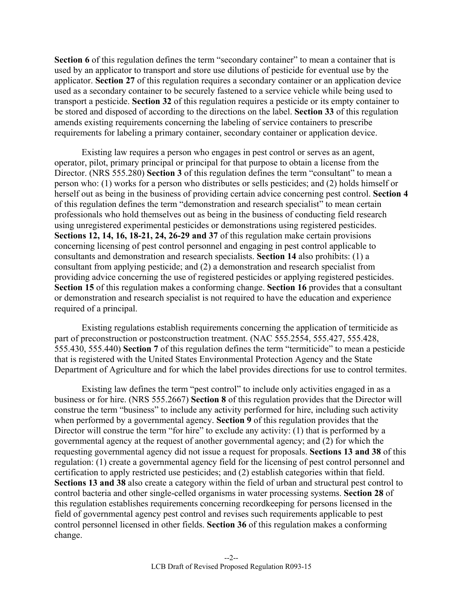Section 6 of this regulation defines the term "secondary container" to mean a container that is used by an applicator to transport and store use dilutions of pesticide for eventual use by the applicator. **Section 27** of this regulation requires a secondary container or an application device used as a secondary container to be securely fastened to a service vehicle while being used to transport a pesticide. **Section 32** of this regulation requires a pesticide or its empty container to be stored and disposed of according to the directions on the label. **Section 33** of this regulation amends existing requirements concerning the labeling of service containers to prescribe requirements for labeling a primary container, secondary container or application device.

 Existing law requires a person who engages in pest control or serves as an agent, operator, pilot, primary principal or principal for that purpose to obtain a license from the Director. (NRS 555.280) **Section 3** of this regulation defines the term "consultant" to mean a person who: (1) works for a person who distributes or sells pesticides; and (2) holds himself or herself out as being in the business of providing certain advice concerning pest control. **Section 4**  of this regulation defines the term "demonstration and research specialist" to mean certain professionals who hold themselves out as being in the business of conducting field research using unregistered experimental pesticides or demonstrations using registered pesticides. **Sections 12, 14, 16, 18-21, 24, 26-29 and 37** of this regulation make certain provisions concerning licensing of pest control personnel and engaging in pest control applicable to consultants and demonstration and research specialists. **Section 14** also prohibits: (1) a consultant from applying pesticide; and (2) a demonstration and research specialist from providing advice concerning the use of registered pesticides or applying registered pesticides. **Section 15** of this regulation makes a conforming change. **Section 16** provides that a consultant or demonstration and research specialist is not required to have the education and experience required of a principal.

 Existing regulations establish requirements concerning the application of termiticide as part of preconstruction or postconstruction treatment. (NAC 555.2554, 555.427, 555.428, 555.430, 555.440) **Section 7** of this regulation defines the term "termiticide" to mean a pesticide that is registered with the United States Environmental Protection Agency and the State Department of Agriculture and for which the label provides directions for use to control termites.

 Existing law defines the term "pest control" to include only activities engaged in as a business or for hire. (NRS 555.2667) **Section 8** of this regulation provides that the Director will construe the term "business" to include any activity performed for hire, including such activity when performed by a governmental agency. **Section 9** of this regulation provides that the Director will construe the term "for hire" to exclude any activity: (1) that is performed by a governmental agency at the request of another governmental agency; and (2) for which the requesting governmental agency did not issue a request for proposals. **Sections 13 and 38** of this regulation: (1) create a governmental agency field for the licensing of pest control personnel and certification to apply restricted use pesticides; and (2) establish categories within that field. **Sections 13 and 38** also create a category within the field of urban and structural pest control to control bacteria and other single-celled organisms in water processing systems. **Section 28** of this regulation establishes requirements concerning recordkeeping for persons licensed in the field of governmental agency pest control and revises such requirements applicable to pest control personnel licensed in other fields. **Section 36** of this regulation makes a conforming change.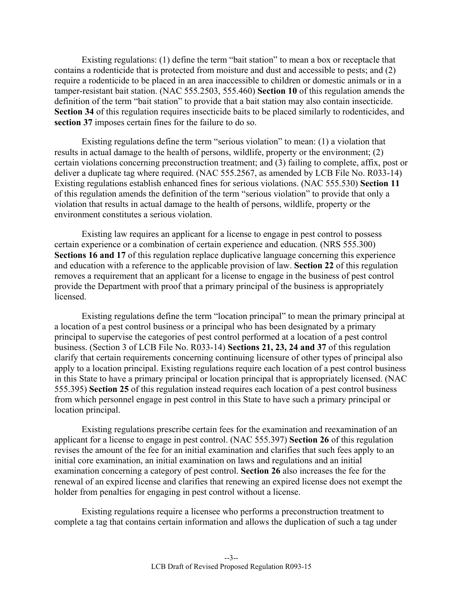Existing regulations: (1) define the term "bait station" to mean a box or receptacle that contains a rodenticide that is protected from moisture and dust and accessible to pests; and (2) require a rodenticide to be placed in an area inaccessible to children or domestic animals or in a tamper-resistant bait station. (NAC 555.2503, 555.460) **Section 10** of this regulation amends the definition of the term "bait station" to provide that a bait station may also contain insecticide. **Section 34** of this regulation requires insecticide baits to be placed similarly to rodenticides, and **section 37** imposes certain fines for the failure to do so.

 Existing regulations define the term "serious violation" to mean: (1) a violation that results in actual damage to the health of persons, wildlife, property or the environment; (2) certain violations concerning preconstruction treatment; and (3) failing to complete, affix, post or deliver a duplicate tag where required. (NAC 555.2567, as amended by LCB File No. R033-14) Existing regulations establish enhanced fines for serious violations. (NAC 555.530) **Section 11** of this regulation amends the definition of the term "serious violation" to provide that only a violation that results in actual damage to the health of persons, wildlife, property or the environment constitutes a serious violation.

 Existing law requires an applicant for a license to engage in pest control to possess certain experience or a combination of certain experience and education. (NRS 555.300) **Sections 16 and 17** of this regulation replace duplicative language concerning this experience and education with a reference to the applicable provision of law. **Section 22** of this regulation removes a requirement that an applicant for a license to engage in the business of pest control provide the Department with proof that a primary principal of the business is appropriately licensed.

 Existing regulations define the term "location principal" to mean the primary principal at a location of a pest control business or a principal who has been designated by a primary principal to supervise the categories of pest control performed at a location of a pest control business. (Section 3 of LCB File No. R033-14) **Sections 21, 23, 24 and 37** of this regulation clarify that certain requirements concerning continuing licensure of other types of principal also apply to a location principal. Existing regulations require each location of a pest control business in this State to have a primary principal or location principal that is appropriately licensed. (NAC 555.395) **Section 25** of this regulation instead requires each location of a pest control business from which personnel engage in pest control in this State to have such a primary principal or location principal.

 Existing regulations prescribe certain fees for the examination and reexamination of an applicant for a license to engage in pest control. (NAC 555.397) **Section 26** of this regulation revises the amount of the fee for an initial examination and clarifies that such fees apply to an initial core examination, an initial examination on laws and regulations and an initial examination concerning a category of pest control. **Section 26** also increases the fee for the renewal of an expired license and clarifies that renewing an expired license does not exempt the holder from penalties for engaging in pest control without a license.

 Existing regulations require a licensee who performs a preconstruction treatment to complete a tag that contains certain information and allows the duplication of such a tag under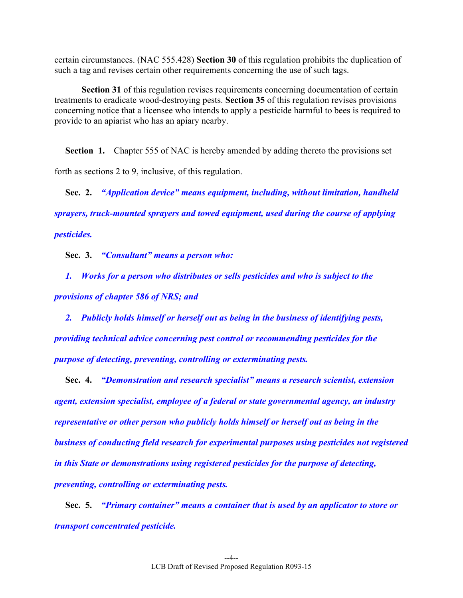certain circumstances. (NAC 555.428) **Section 30** of this regulation prohibits the duplication of such a tag and revises certain other requirements concerning the use of such tags.

**Section 31** of this regulation revises requirements concerning documentation of certain treatments to eradicate wood-destroying pests. **Section 35** of this regulation revises provisions concerning notice that a licensee who intends to apply a pesticide harmful to bees is required to provide to an apiarist who has an apiary nearby.

**Section 1.** Chapter 555 of NAC is hereby amended by adding thereto the provisions set forth as sections 2 to 9, inclusive, of this regulation.

 **Sec. 2.** *"Application device" means equipment, including, without limitation, handheld sprayers, truck-mounted sprayers and towed equipment, used during the course of applying pesticides.* 

 **Sec. 3.** *"Consultant" means a person who:* 

 *1. Works for a person who distributes or sells pesticides and who is subject to the provisions of chapter 586 of NRS; and* 

 *2. Publicly holds himself or herself out as being in the business of identifying pests, providing technical advice concerning pest control or recommending pesticides for the purpose of detecting, preventing, controlling or exterminating pests.*

 **Sec. 4.** *"Demonstration and research specialist" means a research scientist, extension agent, extension specialist, employee of a federal or state governmental agency, an industry representative or other person who publicly holds himself or herself out as being in the business of conducting field research for experimental purposes using pesticides not registered in this State or demonstrations using registered pesticides for the purpose of detecting, preventing, controlling or exterminating pests.* 

 **Sec. 5.** *"Primary container" means a container that is used by an applicator to store or transport concentrated pesticide.*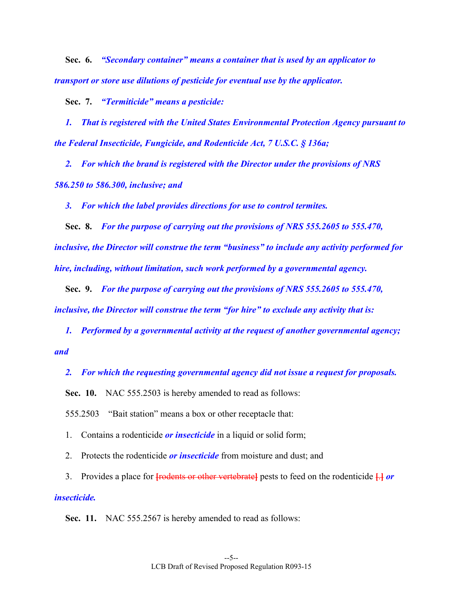**Sec. 6.** *"Secondary container" means a container that is used by an applicator to transport or store use dilutions of pesticide for eventual use by the applicator.* 

 **Sec. 7.** *"Termiticide" means a pesticide:* 

 *1. That is registered with the United States Environmental Protection Agency pursuant to the Federal Insecticide, Fungicide, and Rodenticide Act, 7 U.S.C. § 136a;* 

 *2. For which the brand is registered with the Director under the provisions of NRS 586.250 to 586.300, inclusive; and* 

 *3. For which the label provides directions for use to control termites.* 

 **Sec. 8.** *For the purpose of carrying out the provisions of NRS 555.2605 to 555.470, inclusive, the Director will construe the term "business" to include any activity performed for hire, including, without limitation, such work performed by a governmental agency.* 

 **Sec. 9.** *For the purpose of carrying out the provisions of NRS 555.2605 to 555.470, inclusive, the Director will construe the term "for hire" to exclude any activity that is:* 

 *1. Performed by a governmental activity at the request of another governmental agency; and* 

 *2. For which the requesting governmental agency did not issue a request for proposals.* 

 **Sec. 10.** NAC 555.2503 is hereby amended to read as follows:

555.2503 "Bait station" means a box or other receptacle that:

1. Contains a rodenticide *or insecticide* in a liquid or solid form;

2. Protects the rodenticide *or insecticide* from moisture and dust; and

3. Provides a place for **[**rodents or other vertebrate**]** pests to feed on the rodenticide **[**.**]** *or* 

# *insecticide.*

**Sec. 11.** NAC 555.2567 is hereby amended to read as follows: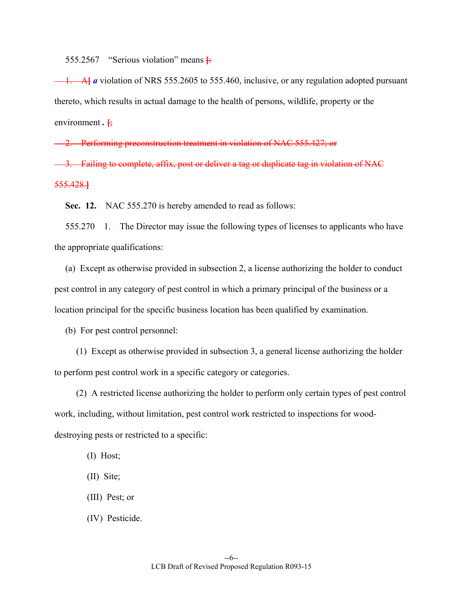555.2567 "Serious violation" means **[**:

 1. A**]** *a* violation of NRS 555.2605 to 555.460, inclusive, or any regulation adopted pursuant thereto, which results in actual damage to the health of persons, wildlife, property or the environment .  $\frac{1}{2}$ 

2. Performing preconstruction treatment in violation of NAC 555.427; or

-3. Failing to complete, affix, post or deliver a tag or duplicate tag in violation of NAC 555.428.**]**

 **Sec. 12.** NAC 555.270 is hereby amended to read as follows:

 555.270 1. The Director may issue the following types of licenses to applicants who have the appropriate qualifications:

 (a) Except as otherwise provided in subsection 2, a license authorizing the holder to conduct pest control in any category of pest control in which a primary principal of the business or a location principal for the specific business location has been qualified by examination.

(b) For pest control personnel:

 (1) Except as otherwise provided in subsection 3, a general license authorizing the holder to perform pest control work in a specific category or categories.

 (2) A restricted license authorizing the holder to perform only certain types of pest control work, including, without limitation, pest control work restricted to inspections for wooddestroying pests or restricted to a specific:

(I) Host;

(II) Site;

(III) Pest; or

(IV) Pesticide.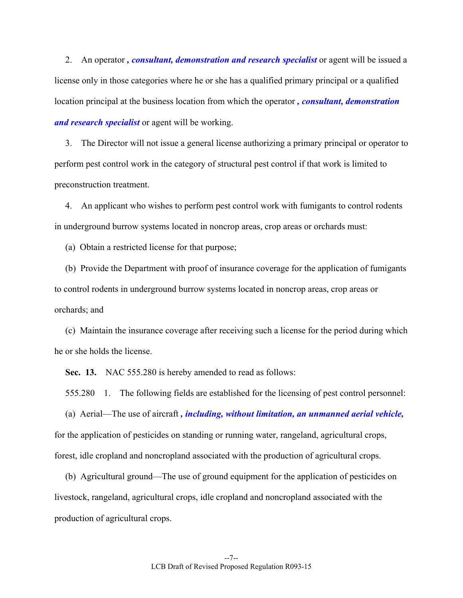2. An operator, *consultant, demonstration and research specialist* or agent will be issued a license only in those categories where he or she has a qualified primary principal or a qualified location principal at the business location from which the operator *, consultant, demonstration and research specialist* or agent will be working.

 3. The Director will not issue a general license authorizing a primary principal or operator to perform pest control work in the category of structural pest control if that work is limited to preconstruction treatment.

 4. An applicant who wishes to perform pest control work with fumigants to control rodents in underground burrow systems located in noncrop areas, crop areas or orchards must:

(a) Obtain a restricted license for that purpose;

 (b) Provide the Department with proof of insurance coverage for the application of fumigants to control rodents in underground burrow systems located in noncrop areas, crop areas or orchards; and

 (c) Maintain the insurance coverage after receiving such a license for the period during which he or she holds the license.

**Sec. 13.** NAC 555.280 is hereby amended to read as follows:

555.280 1. The following fields are established for the licensing of pest control personnel:

 (a) Aerial—The use of aircraft *, including, without limitation, an unmanned aerial vehicle,*  for the application of pesticides on standing or running water, rangeland, agricultural crops, forest, idle cropland and noncropland associated with the production of agricultural crops.

 (b) Agricultural ground—The use of ground equipment for the application of pesticides on livestock, rangeland, agricultural crops, idle cropland and noncropland associated with the production of agricultural crops.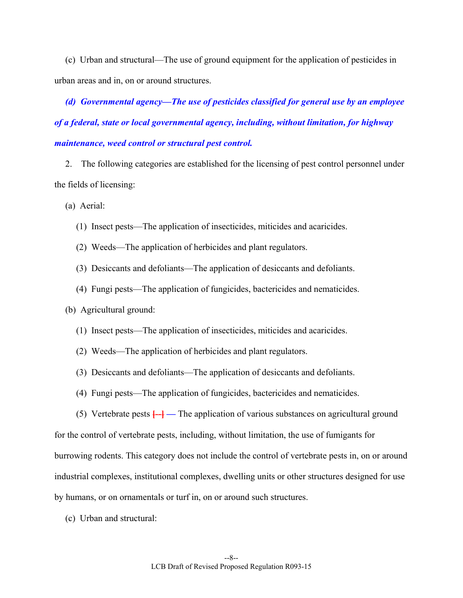(c) Urban and structural—The use of ground equipment for the application of pesticides in urban areas and in, on or around structures.

 *(d) Governmental agency—The use of pesticides classified for general use by an employee of a federal, state or local governmental agency, including, without limitation, for highway maintenance, weed control or structural pest control.* 

 2. The following categories are established for the licensing of pest control personnel under the fields of licensing:

(a) Aerial:

- (1) Insect pests—The application of insecticides, miticides and acaricides.
- (2) Weeds—The application of herbicides and plant regulators.
- (3) Desiccants and defoliants—The application of desiccants and defoliants.
- (4) Fungi pests—The application of fungicides, bactericides and nematicides.
- (b) Agricultural ground:
	- (1) Insect pests—The application of insecticides, miticides and acaricides.
	- (2) Weeds—The application of herbicides and plant regulators.
	- (3) Desiccants and defoliants—The application of desiccants and defoliants.
	- (4) Fungi pests—The application of fungicides, bactericides and nematicides.
	- (5) Vertebrate pests  $\leftarrow$ **]** The application of various substances on agricultural ground

for the control of vertebrate pests, including, without limitation, the use of fumigants for burrowing rodents. This category does not include the control of vertebrate pests in, on or around industrial complexes, institutional complexes, dwelling units or other structures designed for use by humans, or on ornamentals or turf in, on or around such structures.

(c) Urban and structural: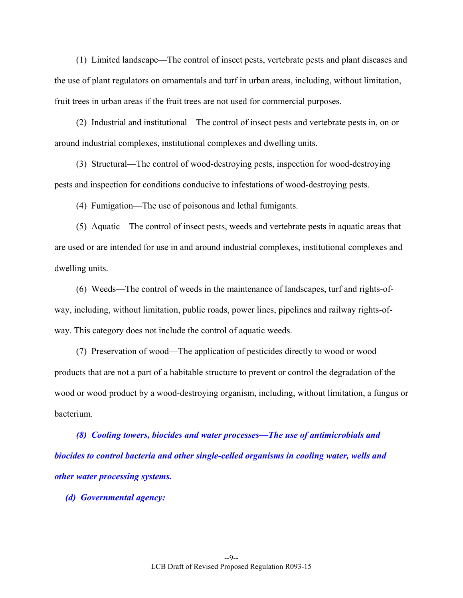(1) Limited landscape—The control of insect pests, vertebrate pests and plant diseases and the use of plant regulators on ornamentals and turf in urban areas, including, without limitation, fruit trees in urban areas if the fruit trees are not used for commercial purposes.

 (2) Industrial and institutional—The control of insect pests and vertebrate pests in, on or around industrial complexes, institutional complexes and dwelling units.

 (3) Structural—The control of wood-destroying pests, inspection for wood-destroying pests and inspection for conditions conducive to infestations of wood-destroying pests.

(4) Fumigation—The use of poisonous and lethal fumigants.

 (5) Aquatic—The control of insect pests, weeds and vertebrate pests in aquatic areas that are used or are intended for use in and around industrial complexes, institutional complexes and dwelling units.

 (6) Weeds—The control of weeds in the maintenance of landscapes, turf and rights-ofway, including, without limitation, public roads, power lines, pipelines and railway rights-ofway. This category does not include the control of aquatic weeds.

 (7) Preservation of wood—The application of pesticides directly to wood or wood products that are not a part of a habitable structure to prevent or control the degradation of the wood or wood product by a wood-destroying organism, including, without limitation, a fungus or bacterium.

 *(8) Cooling towers, biocides and water processes—The use of antimicrobials and biocides to control bacteria and other single-celled organisms in cooling water, wells and other water processing systems.* 

 *(d) Governmental agency:*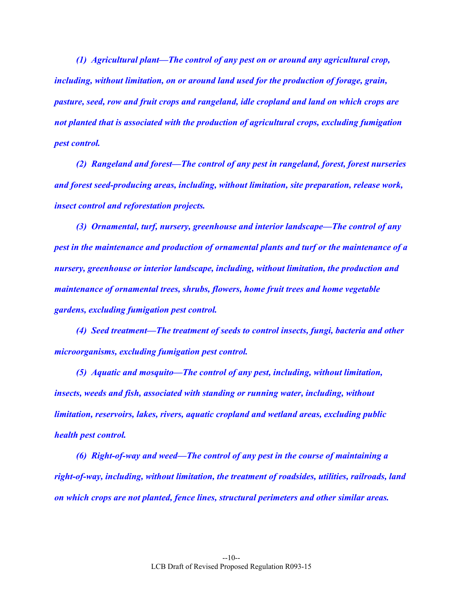*(1) Agricultural plant—The control of any pest on or around any agricultural crop, including, without limitation, on or around land used for the production of forage, grain, pasture, seed, row and fruit crops and rangeland, idle cropland and land on which crops are not planted that is associated with the production of agricultural crops, excluding fumigation pest control.* 

 *(2) Rangeland and forest—The control of any pest in rangeland, forest, forest nurseries and forest seed-producing areas, including, without limitation, site preparation, release work, insect control and reforestation projects.* 

 *(3) Ornamental, turf, nursery, greenhouse and interior landscape—The control of any pest in the maintenance and production of ornamental plants and turf or the maintenance of a nursery, greenhouse or interior landscape, including, without limitation, the production and maintenance of ornamental trees, shrubs, flowers, home fruit trees and home vegetable gardens, excluding fumigation pest control.* 

 *(4) Seed treatment—The treatment of seeds to control insects, fungi, bacteria and other microorganisms, excluding fumigation pest control.* 

 *(5) Aquatic and mosquito—The control of any pest, including, without limitation, insects, weeds and fish, associated with standing or running water, including, without limitation, reservoirs, lakes, rivers, aquatic cropland and wetland areas, excluding public health pest control.* 

 *(6) Right-of-way and weed—The control of any pest in the course of maintaining a right-of-way, including, without limitation, the treatment of roadsides, utilities, railroads, land on which crops are not planted, fence lines, structural perimeters and other similar areas.*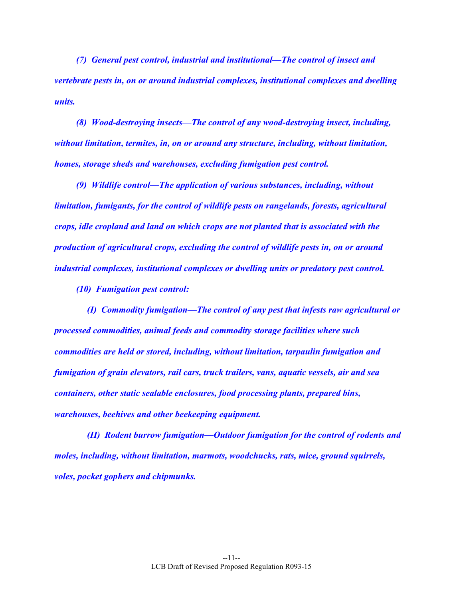*(7) General pest control, industrial and institutional—The control of insect and vertebrate pests in, on or around industrial complexes, institutional complexes and dwelling units.* 

 *(8) Wood-destroying insects—The control of any wood-destroying insect, including, without limitation, termites, in, on or around any structure, including, without limitation, homes, storage sheds and warehouses, excluding fumigation pest control.* 

 *(9) Wildlife control—The application of various substances, including, without limitation, fumigants, for the control of wildlife pests on rangelands, forests, agricultural crops, idle cropland and land on which crops are not planted that is associated with the production of agricultural crops, excluding the control of wildlife pests in, on or around industrial complexes, institutional complexes or dwelling units or predatory pest control.* 

 *(10) Fumigation pest control:* 

 *(I) Commodity fumigation—The control of any pest that infests raw agricultural or processed commodities, animal feeds and commodity storage facilities where such commodities are held or stored, including, without limitation, tarpaulin fumigation and fumigation of grain elevators, rail cars, truck trailers, vans, aquatic vessels, air and sea containers, other static sealable enclosures, food processing plants, prepared bins, warehouses, beehives and other beekeeping equipment.* 

 *(II) Rodent burrow fumigation—Outdoor fumigation for the control of rodents and moles, including, without limitation, marmots, woodchucks, rats, mice, ground squirrels, voles, pocket gophers and chipmunks.*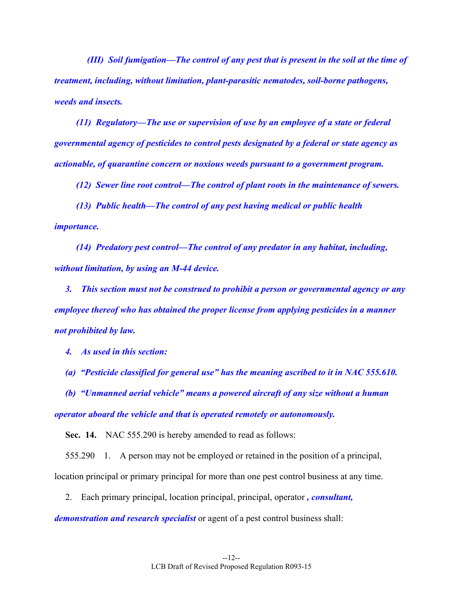*(III) Soil fumigation—The control of any pest that is present in the soil at the time of treatment, including, without limitation, plant-parasitic nematodes, soil-borne pathogens, weeds and insects.* 

 *(11) Regulatory—The use or supervision of use by an employee of a state or federal governmental agency of pesticides to control pests designated by a federal or state agency as actionable, of quarantine concern or noxious weeds pursuant to a government program.* 

 *(12) Sewer line root control—The control of plant roots in the maintenance of sewers.* 

 *(13) Public health—The control of any pest having medical or public health importance.* 

 *(14) Predatory pest control—The control of any predator in any habitat, including, without limitation, by using an M-44 device.* 

 *3. This section must not be construed to prohibit a person or governmental agency or any employee thereof who has obtained the proper license from applying pesticides in a manner not prohibited by law.* 

 *4. As used in this section:* 

 *(a) "Pesticide classified for general use" has the meaning ascribed to it in NAC 555.610.* 

 *(b) "Unmanned aerial vehicle" means a powered aircraft of any size without a human operator aboard the vehicle and that is operated remotely or autonomously.* 

**Sec. 14.** NAC 555.290 is hereby amended to read as follows:

 555.290 1. A person may not be employed or retained in the position of a principal, location principal or primary principal for more than one pest control business at any time.

2. Each primary principal, location principal, principal, operator *, consultant,* 

*demonstration and research specialist* or agent of a pest control business shall: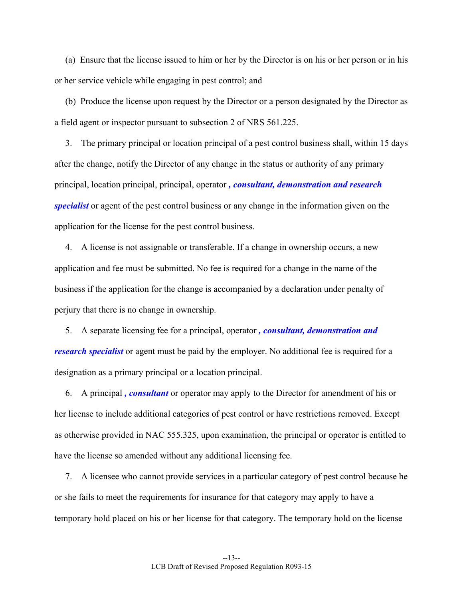(a) Ensure that the license issued to him or her by the Director is on his or her person or in his or her service vehicle while engaging in pest control; and

 (b) Produce the license upon request by the Director or a person designated by the Director as a field agent or inspector pursuant to subsection 2 of NRS 561.225.

 3. The primary principal or location principal of a pest control business shall, within 15 days after the change, notify the Director of any change in the status or authority of any primary principal, location principal, principal, operator *, consultant, demonstration and research specialist* or agent of the pest control business or any change in the information given on the application for the license for the pest control business.

 4. A license is not assignable or transferable. If a change in ownership occurs, a new application and fee must be submitted. No fee is required for a change in the name of the business if the application for the change is accompanied by a declaration under penalty of perjury that there is no change in ownership.

 5. A separate licensing fee for a principal, operator *, consultant, demonstration and research specialist* or agent must be paid by the employer. No additional fee is required for a designation as a primary principal or a location principal.

 6. A principal *, consultant* or operator may apply to the Director for amendment of his or her license to include additional categories of pest control or have restrictions removed. Except as otherwise provided in NAC 555.325, upon examination, the principal or operator is entitled to have the license so amended without any additional licensing fee.

 7. A licensee who cannot provide services in a particular category of pest control because he or she fails to meet the requirements for insurance for that category may apply to have a temporary hold placed on his or her license for that category. The temporary hold on the license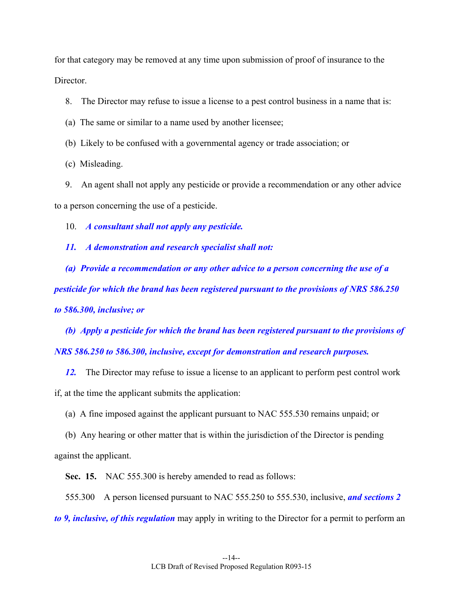for that category may be removed at any time upon submission of proof of insurance to the Director.

8. The Director may refuse to issue a license to a pest control business in a name that is:

- (a) The same or similar to a name used by another licensee;
- (b) Likely to be confused with a governmental agency or trade association; or
- (c) Misleading.

 9. An agent shall not apply any pesticide or provide a recommendation or any other advice to a person concerning the use of a pesticide.

10. *A consultant shall not apply any pesticide.* 

 *11. A demonstration and research specialist shall not:* 

 *(a) Provide a recommendation or any other advice to a person concerning the use of a pesticide for which the brand has been registered pursuant to the provisions of NRS 586.250 to 586.300, inclusive; or* 

 *(b) Apply a pesticide for which the brand has been registered pursuant to the provisions of NRS 586.250 to 586.300, inclusive, except for demonstration and research purposes.* 

 *12.* The Director may refuse to issue a license to an applicant to perform pest control work if, at the time the applicant submits the application:

(a) A fine imposed against the applicant pursuant to NAC 555.530 remains unpaid; or

 (b) Any hearing or other matter that is within the jurisdiction of the Director is pending against the applicant.

 **Sec. 15.** NAC 555.300 is hereby amended to read as follows:

 555.300 A person licensed pursuant to NAC 555.250 to 555.530, inclusive, *and sections 2 to 9, inclusive, of this regulation* may apply in writing to the Director for a permit to perform an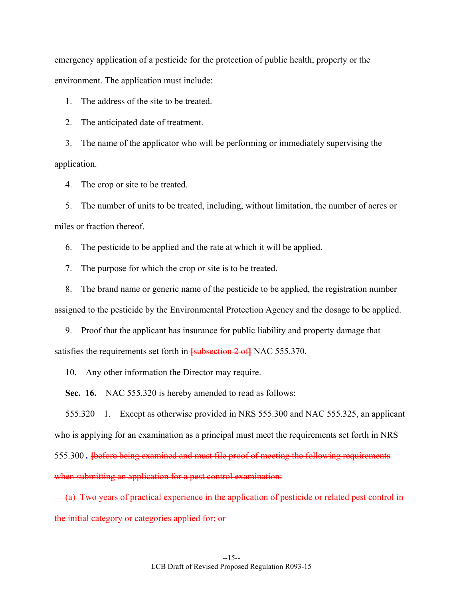emergency application of a pesticide for the protection of public health, property or the environment. The application must include:

1. The address of the site to be treated.

2. The anticipated date of treatment.

 3. The name of the applicator who will be performing or immediately supervising the application.

4. The crop or site to be treated.

 5. The number of units to be treated, including, without limitation, the number of acres or miles or fraction thereof.

6. The pesticide to be applied and the rate at which it will be applied.

7. The purpose for which the crop or site is to be treated.

 8. The brand name or generic name of the pesticide to be applied, the registration number assigned to the pesticide by the Environmental Protection Agency and the dosage to be applied.

 9. Proof that the applicant has insurance for public liability and property damage that satisfies the requirements set forth in **[**subsection 2 of**]** NAC 555.370.

10. Any other information the Director may require.

**Sec. 16.** NAC 555.320 is hereby amended to read as follows:

 555.320 1. Except as otherwise provided in NRS 555.300 and NAC 555.325, an applicant who is applying for an examination as a principal must meet the requirements set forth in NRS 555.300 *.* **[**before being examined and must file proof of meeting the following requirements when submitting an application for a pest control examination:

 (a) Two years of practical experience in the application of pesticide or related pest control in the initial category or categories applied for; or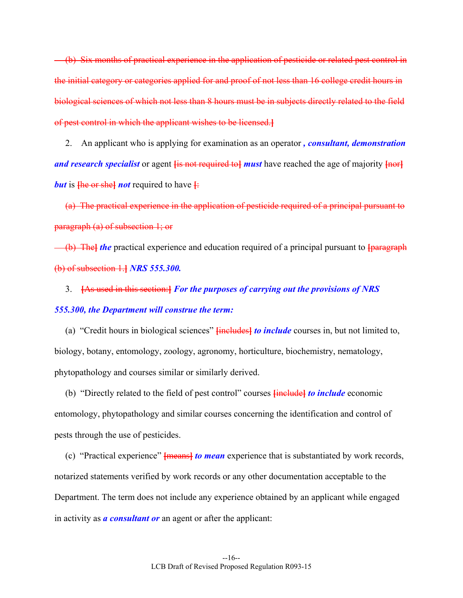(b) Six months of practical experience in the application of pesticide or related pest control in the initial category or categories applied for and proof of not less than 16 college credit hours in biological sciences of which not less than 8 hours must be in subjects directly related to the field of pest control in which the applicant wishes to be licensed.**]**

 2. An applicant who is applying for examination as an operator *, consultant, demonstration and research specialist* or agent **[**is not required to**]** *must* have reached the age of majority **[**nor**]** *but* is  $\frac{\text{fhe or she}}{\text{fhe}}$  *not* required to have  $\frac{\text{fhe}}{\text{fhe}}$ 

(a) The practical experience in the application of pesticide required of a principal pursuant to paragraph (a) of subsection 1; or

 (b) The**]** *the* practical experience and education required of a principal pursuant to **[**paragraph (b) of subsection 1.**]** *NRS 555.300.*

 3. **[**As used in this section:**]** *For the purposes of carrying out the provisions of NRS 555.300, the Department will construe the term:*

 (a) "Credit hours in biological sciences" **[**includes**]** *to include* courses in, but not limited to, biology, botany, entomology, zoology, agronomy, horticulture, biochemistry, nematology, phytopathology and courses similar or similarly derived.

 (b) "Directly related to the field of pest control" courses **[**include**]** *to include* economic entomology, phytopathology and similar courses concerning the identification and control of pests through the use of pesticides.

 (c) "Practical experience" **[**means**]** *to mean* experience that is substantiated by work records, notarized statements verified by work records or any other documentation acceptable to the Department. The term does not include any experience obtained by an applicant while engaged in activity as *a consultant or* an agent or after the applicant: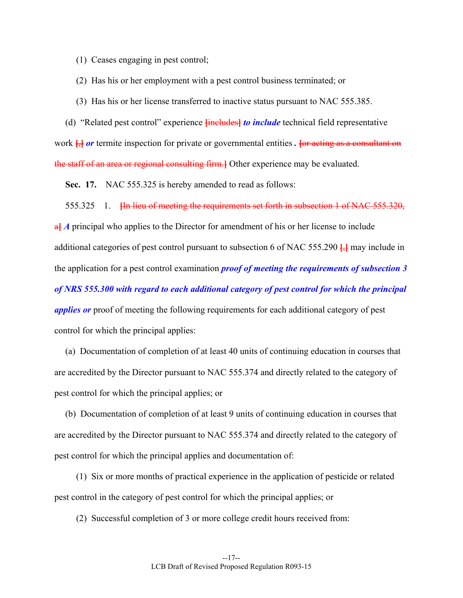- (1) Ceases engaging in pest control;
- (2) Has his or her employment with a pest control business terminated; or
- (3) Has his or her license transferred to inactive status pursuant to NAC 555.385.

 (d) "Related pest control" experience **[**includes**]** *to include* technical field representative work  $\frac{1}{2}$  *or* termite inspection for private or governmental entities. For acting as a consultant on the staff of an area or regional consulting firm.**]** Other experience may be evaluated.

**Sec. 17.** NAC 555.325 is hereby amended to read as follows:

555.325 1. **[**In lieu of meeting the requirements set forth in subsection 1 of NAC 555.320,

**a**<sup> $\bf{A}$ </sup> *A* principal who applies to the Director for amendment of his or her license to include additional categories of pest control pursuant to subsection 6 of NAC 555.290 **[**,**]** may include in the application for a pest control examination *proof of meeting the requirements of subsection 3 of NRS 555.300 with regard to each additional category of pest control for which the principal applies or* proof of meeting the following requirements for each additional category of pest control for which the principal applies:

 (a) Documentation of completion of at least 40 units of continuing education in courses that are accredited by the Director pursuant to NAC 555.374 and directly related to the category of pest control for which the principal applies; or

 (b) Documentation of completion of at least 9 units of continuing education in courses that are accredited by the Director pursuant to NAC 555.374 and directly related to the category of pest control for which the principal applies and documentation of:

 (1) Six or more months of practical experience in the application of pesticide or related pest control in the category of pest control for which the principal applies; or

(2) Successful completion of 3 or more college credit hours received from: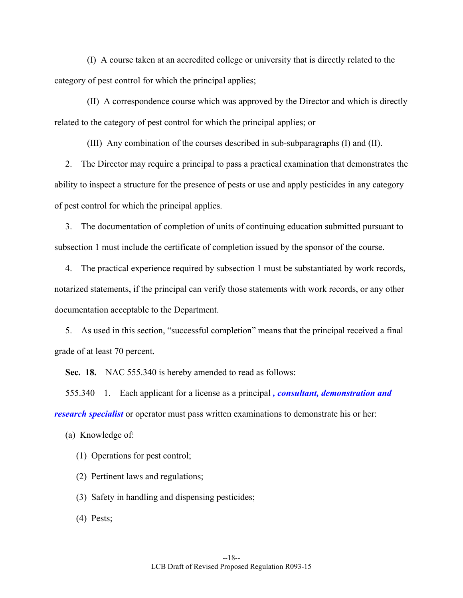(I) A course taken at an accredited college or university that is directly related to the category of pest control for which the principal applies;

 (II) A correspondence course which was approved by the Director and which is directly related to the category of pest control for which the principal applies; or

(III) Any combination of the courses described in sub-subparagraphs (I) and (II).

 2. The Director may require a principal to pass a practical examination that demonstrates the ability to inspect a structure for the presence of pests or use and apply pesticides in any category of pest control for which the principal applies.

 3. The documentation of completion of units of continuing education submitted pursuant to subsection 1 must include the certificate of completion issued by the sponsor of the course.

 4. The practical experience required by subsection 1 must be substantiated by work records, notarized statements, if the principal can verify those statements with work records, or any other documentation acceptable to the Department.

 5. As used in this section, "successful completion" means that the principal received a final grade of at least 70 percent.

**Sec. 18.** NAC 555.340 is hereby amended to read as follows:

 555.340 1. Each applicant for a license as a principal *, consultant, demonstration and research specialist* or operator must pass written examinations to demonstrate his or her:

(a) Knowledge of:

(1) Operations for pest control;

(2) Pertinent laws and regulations;

(3) Safety in handling and dispensing pesticides;

(4) Pests;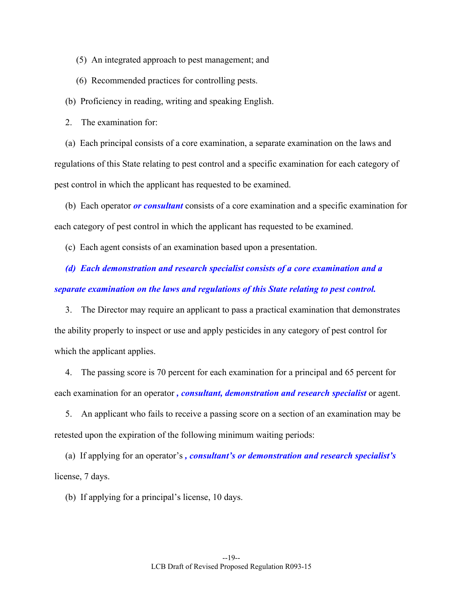- (5) An integrated approach to pest management; and
- (6) Recommended practices for controlling pests.

(b) Proficiency in reading, writing and speaking English.

2. The examination for:

 (a) Each principal consists of a core examination, a separate examination on the laws and regulations of this State relating to pest control and a specific examination for each category of pest control in which the applicant has requested to be examined.

 (b) Each operator *or consultant* consists of a core examination and a specific examination for each category of pest control in which the applicant has requested to be examined.

(c) Each agent consists of an examination based upon a presentation.

 *(d) Each demonstration and research specialist consists of a core examination and a separate examination on the laws and regulations of this State relating to pest control.* 

 3. The Director may require an applicant to pass a practical examination that demonstrates the ability properly to inspect or use and apply pesticides in any category of pest control for which the applicant applies.

 4. The passing score is 70 percent for each examination for a principal and 65 percent for each examination for an operator *, consultant, demonstration and research specialist* or agent.

 5. An applicant who fails to receive a passing score on a section of an examination may be retested upon the expiration of the following minimum waiting periods:

 (a) If applying for an operator's *, consultant's or demonstration and research specialist's*  license, 7 days.

(b) If applying for a principal's license, 10 days.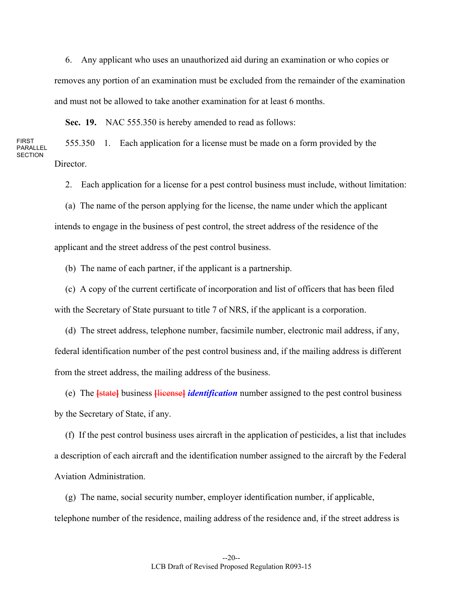6. Any applicant who uses an unauthorized aid during an examination or who copies or removes any portion of an examination must be excluded from the remainder of the examination and must not be allowed to take another examination for at least 6 months.

**Sec. 19.** NAC 555.350 is hereby amended to read as follows:

FIRST PARALLEL **SECTION**  555.350 1. Each application for a license must be made on a form provided by the Director.

2. Each application for a license for a pest control business must include, without limitation:

 (a) The name of the person applying for the license, the name under which the applicant intends to engage in the business of pest control, the street address of the residence of the applicant and the street address of the pest control business.

(b) The name of each partner, if the applicant is a partnership.

 (c) A copy of the current certificate of incorporation and list of officers that has been filed with the Secretary of State pursuant to title 7 of NRS, if the applicant is a corporation.

 (d) The street address, telephone number, facsimile number, electronic mail address, if any, federal identification number of the pest control business and, if the mailing address is different from the street address, the mailing address of the business.

 (e) The **[**state**]** business **[**license**]** *identification* number assigned to the pest control business by the Secretary of State, if any.

 (f) If the pest control business uses aircraft in the application of pesticides, a list that includes a description of each aircraft and the identification number assigned to the aircraft by the Federal Aviation Administration.

 (g) The name, social security number, employer identification number, if applicable, telephone number of the residence, mailing address of the residence and, if the street address is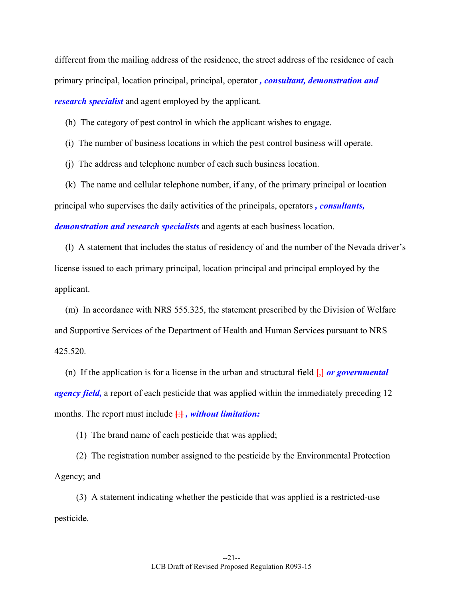different from the mailing address of the residence, the street address of the residence of each primary principal, location principal, principal, operator *, consultant, demonstration and research specialist* and agent employed by the applicant.

- (h) The category of pest control in which the applicant wishes to engage.
- (i) The number of business locations in which the pest control business will operate.
- (j) The address and telephone number of each such business location.

 (k) The name and cellular telephone number, if any, of the primary principal or location principal who supervises the daily activities of the principals, operators *, consultants, demonstration and research specialists* and agents at each business location.

 (l) A statement that includes the status of residency of and the number of the Nevada driver's license issued to each primary principal, location principal and principal employed by the applicant.

 (m) In accordance with NRS 555.325, the statement prescribed by the Division of Welfare and Supportive Services of the Department of Health and Human Services pursuant to NRS 425.520.

(n) If the application is for a license in the urban and structural field  $\frac{1}{2}$  *or governmental agency field,* a report of each pesticide that was applied within the immediately preceding 12 months. The report must include **[**:**]** *, without limitation:*

(1) The brand name of each pesticide that was applied;

 (2) The registration number assigned to the pesticide by the Environmental Protection Agency; and

 (3) A statement indicating whether the pesticide that was applied is a restricted-use pesticide.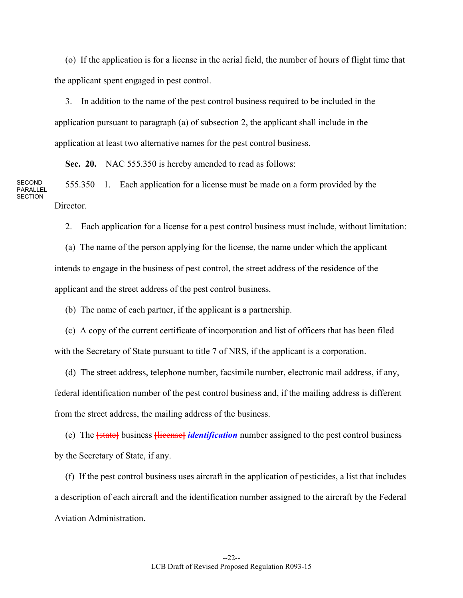(o) If the application is for a license in the aerial field, the number of hours of flight time that the applicant spent engaged in pest control.

 3. In addition to the name of the pest control business required to be included in the application pursuant to paragraph (a) of subsection 2, the applicant shall include in the application at least two alternative names for the pest control business.

**Sec. 20.** NAC 555.350 is hereby amended to read as follows:

SECOND PARALLEL **SECTION**  555.350 1. Each application for a license must be made on a form provided by the **Director** 

2. Each application for a license for a pest control business must include, without limitation:

 (a) The name of the person applying for the license, the name under which the applicant intends to engage in the business of pest control, the street address of the residence of the applicant and the street address of the pest control business.

(b) The name of each partner, if the applicant is a partnership.

 (c) A copy of the current certificate of incorporation and list of officers that has been filed with the Secretary of State pursuant to title 7 of NRS, if the applicant is a corporation.

 (d) The street address, telephone number, facsimile number, electronic mail address, if any, federal identification number of the pest control business and, if the mailing address is different from the street address, the mailing address of the business.

 (e) The **[**state**]** business **[**license**]** *identification* number assigned to the pest control business by the Secretary of State, if any.

 (f) If the pest control business uses aircraft in the application of pesticides, a list that includes a description of each aircraft and the identification number assigned to the aircraft by the Federal Aviation Administration.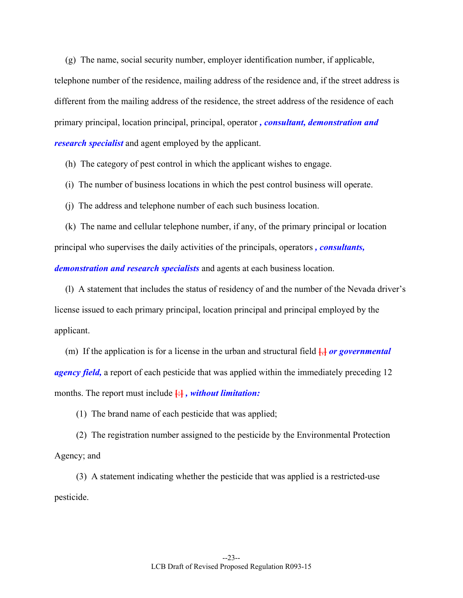(g) The name, social security number, employer identification number, if applicable, telephone number of the residence, mailing address of the residence and, if the street address is different from the mailing address of the residence, the street address of the residence of each primary principal, location principal, principal, operator *, consultant, demonstration and research specialist* and agent employed by the applicant.

(h) The category of pest control in which the applicant wishes to engage.

- (i) The number of business locations in which the pest control business will operate.
- (j) The address and telephone number of each such business location.
- (k) The name and cellular telephone number, if any, of the primary principal or location principal who supervises the daily activities of the principals, operators *, consultants, demonstration and research specialists* and agents at each business location.

 (l) A statement that includes the status of residency of and the number of the Nevada driver's license issued to each primary principal, location principal and principal employed by the applicant.

(m) If the application is for a license in the urban and structural field  $\frac{1}{2}$  or governmental *agency field,* a report of each pesticide that was applied within the immediately preceding 12 months. The report must include **[**:**]** *, without limitation:*

(1) The brand name of each pesticide that was applied;

 (2) The registration number assigned to the pesticide by the Environmental Protection Agency; and

 (3) A statement indicating whether the pesticide that was applied is a restricted-use pesticide.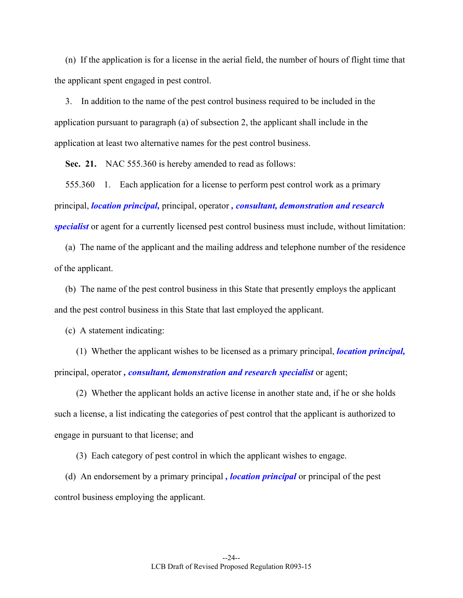(n) If the application is for a license in the aerial field, the number of hours of flight time that the applicant spent engaged in pest control.

 3. In addition to the name of the pest control business required to be included in the application pursuant to paragraph (a) of subsection 2, the applicant shall include in the application at least two alternative names for the pest control business.

**Sec. 21.** NAC 555.360 is hereby amended to read as follows:

 555.360 1. Each application for a license to perform pest control work as a primary principal, *location principal,* principal, operator *, consultant, demonstration and research specialist* or agent for a currently licensed pest control business must include, without limitation:

 (a) The name of the applicant and the mailing address and telephone number of the residence of the applicant.

 (b) The name of the pest control business in this State that presently employs the applicant and the pest control business in this State that last employed the applicant.

(c) A statement indicating:

 (1) Whether the applicant wishes to be licensed as a primary principal, *location principal,*  principal, operator *, consultant, demonstration and research specialist* or agent;

 (2) Whether the applicant holds an active license in another state and, if he or she holds such a license, a list indicating the categories of pest control that the applicant is authorized to engage in pursuant to that license; and

(3) Each category of pest control in which the applicant wishes to engage.

 (d) An endorsement by a primary principal *, location principal* or principal of the pest control business employing the applicant.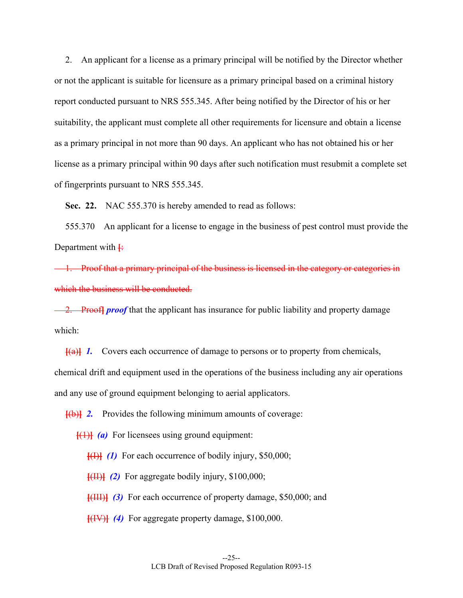2. An applicant for a license as a primary principal will be notified by the Director whether or not the applicant is suitable for licensure as a primary principal based on a criminal history report conducted pursuant to NRS 555.345. After being notified by the Director of his or her suitability, the applicant must complete all other requirements for licensure and obtain a license as a primary principal in not more than 90 days. An applicant who has not obtained his or her license as a primary principal within 90 days after such notification must resubmit a complete set of fingerprints pursuant to NRS 555.345.

**Sec. 22.** NAC 555.370 is hereby amended to read as follows:

 555.370 An applicant for a license to engage in the business of pest control must provide the Department with **[**:

 1. Proof that a primary principal of the business is licensed in the category or categories in which the business will be conducted.

**2. Prooff proof** that the applicant has insurance for public liability and property damage which:

**[**(a)**]** *1.* Covers each occurrence of damage to persons or to property from chemicals, chemical drift and equipment used in the operations of the business including any air operations and any use of ground equipment belonging to aerial applicators.

**[**(b)**]** *2.* Provides the following minimum amounts of coverage:

 $\left\{\left(\frac{1}{1}\right)$  *(a)* For licensees using ground equipment:

**[**(I)**]** *(1)* For each occurrence of bodily injury, \$50,000;

**[**(II)**]** *(2)* For aggregate bodily injury, \$100,000;

**[**(III)**]** *(3)* For each occurrence of property damage, \$50,000; and

**[**(IV)**]** *(4)* For aggregate property damage, \$100,000.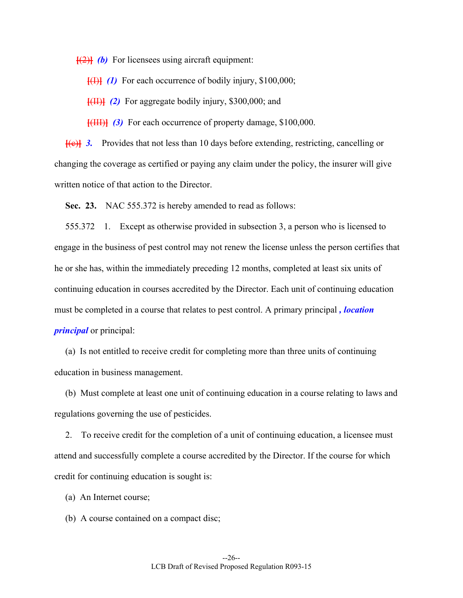$\left[\frac{1}{2}\right]$  *(b)* For licensees using aircraft equipment:

**[**(I)**]** *(1)* For each occurrence of bodily injury, \$100,000;

**[**(II)**]** *(2)* For aggregate bodily injury, \$300,000; and

**[**(III)**]** *(3)* For each occurrence of property damage, \$100,000.

**[**(c)**]** *3.* Provides that not less than 10 days before extending, restricting, cancelling or changing the coverage as certified or paying any claim under the policy, the insurer will give written notice of that action to the Director.

 **Sec. 23.** NAC 555.372 is hereby amended to read as follows:

 555.372 1. Except as otherwise provided in subsection 3, a person who is licensed to engage in the business of pest control may not renew the license unless the person certifies that he or she has, within the immediately preceding 12 months, completed at least six units of continuing education in courses accredited by the Director. Each unit of continuing education must be completed in a course that relates to pest control. A primary principal *, location principal* or principal:

 (a) Is not entitled to receive credit for completing more than three units of continuing education in business management.

 (b) Must complete at least one unit of continuing education in a course relating to laws and regulations governing the use of pesticides.

 2. To receive credit for the completion of a unit of continuing education, a licensee must attend and successfully complete a course accredited by the Director. If the course for which credit for continuing education is sought is:

- (a) An Internet course;
- (b) A course contained on a compact disc;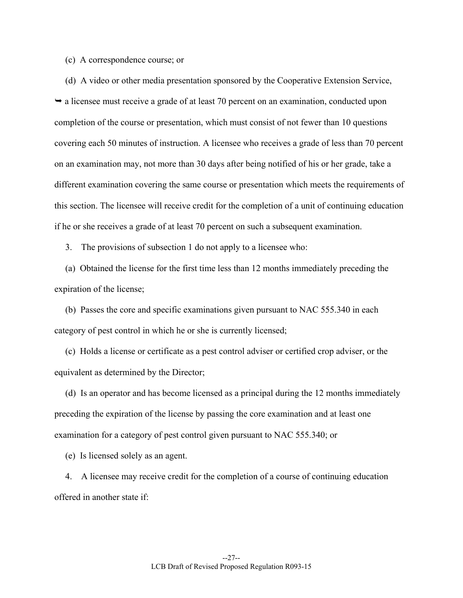#### (c) A correspondence course; or

 (d) A video or other media presentation sponsored by the Cooperative Extension Service,  $\rightarrow$  a licensee must receive a grade of at least 70 percent on an examination, conducted upon completion of the course or presentation, which must consist of not fewer than 10 questions covering each 50 minutes of instruction. A licensee who receives a grade of less than 70 percent on an examination may, not more than 30 days after being notified of his or her grade, take a different examination covering the same course or presentation which meets the requirements of this section. The licensee will receive credit for the completion of a unit of continuing education if he or she receives a grade of at least 70 percent on such a subsequent examination.

3. The provisions of subsection 1 do not apply to a licensee who:

 (a) Obtained the license for the first time less than 12 months immediately preceding the expiration of the license;

 (b) Passes the core and specific examinations given pursuant to NAC 555.340 in each category of pest control in which he or she is currently licensed;

 (c) Holds a license or certificate as a pest control adviser or certified crop adviser, or the equivalent as determined by the Director;

 (d) Is an operator and has become licensed as a principal during the 12 months immediately preceding the expiration of the license by passing the core examination and at least one examination for a category of pest control given pursuant to NAC 555.340; or

(e) Is licensed solely as an agent.

 4. A licensee may receive credit for the completion of a course of continuing education offered in another state if: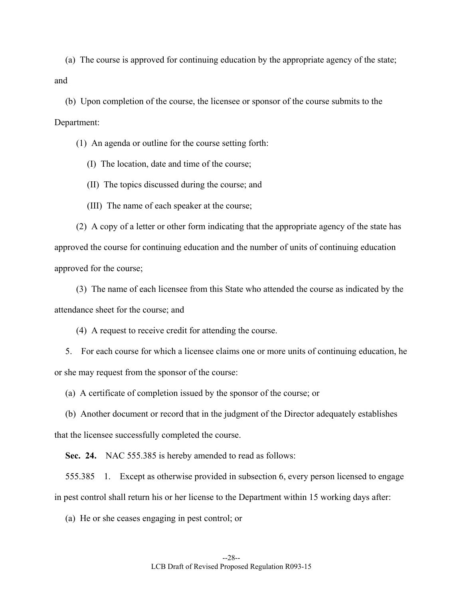(a) The course is approved for continuing education by the appropriate agency of the state; and

 (b) Upon completion of the course, the licensee or sponsor of the course submits to the Department:

(1) An agenda or outline for the course setting forth:

(I) The location, date and time of the course;

(II) The topics discussed during the course; and

(III) The name of each speaker at the course;

 (2) A copy of a letter or other form indicating that the appropriate agency of the state has approved the course for continuing education and the number of units of continuing education approved for the course;

 (3) The name of each licensee from this State who attended the course as indicated by the attendance sheet for the course; and

(4) A request to receive credit for attending the course.

 5. For each course for which a licensee claims one or more units of continuing education, he or she may request from the sponsor of the course:

(a) A certificate of completion issued by the sponsor of the course; or

 (b) Another document or record that in the judgment of the Director adequately establishes that the licensee successfully completed the course.

 **Sec. 24.** NAC 555.385 is hereby amended to read as follows:

 555.385 1. Except as otherwise provided in subsection 6, every person licensed to engage in pest control shall return his or her license to the Department within 15 working days after:

(a) He or she ceases engaging in pest control; or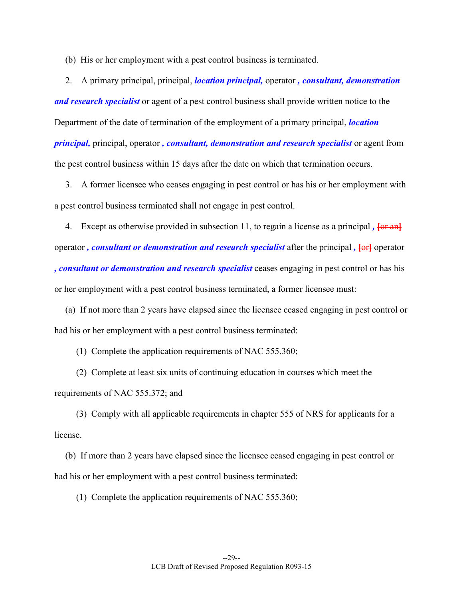(b) His or her employment with a pest control business is terminated.

 2. A primary principal, principal, *location principal,* operator *, consultant, demonstration and research specialist* or agent of a pest control business shall provide written notice to the Department of the date of termination of the employment of a primary principal, *location principal,* principal, operator *, consultant, demonstration and research specialist* or agent from the pest control business within 15 days after the date on which that termination occurs.

 3. A former licensee who ceases engaging in pest control or has his or her employment with a pest control business terminated shall not engage in pest control.

4. Except as otherwise provided in subsection 11, to regain a license as a principal,  $\overline{\text{for an}}$ operator, *consultant or demonstration and research specialist* after the principal,  $\left\{\Theta f\right\}$  operator *, consultant or demonstration and research specialist* ceases engaging in pest control or has his or her employment with a pest control business terminated, a former licensee must:

 (a) If not more than 2 years have elapsed since the licensee ceased engaging in pest control or had his or her employment with a pest control business terminated:

(1) Complete the application requirements of NAC 555.360;

 (2) Complete at least six units of continuing education in courses which meet the requirements of NAC 555.372; and

 (3) Comply with all applicable requirements in chapter 555 of NRS for applicants for a license.

 (b) If more than 2 years have elapsed since the licensee ceased engaging in pest control or had his or her employment with a pest control business terminated:

(1) Complete the application requirements of NAC 555.360;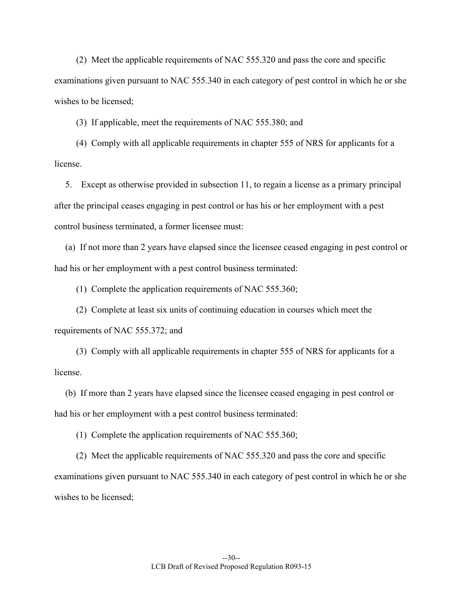(2) Meet the applicable requirements of NAC 555.320 and pass the core and specific examinations given pursuant to NAC 555.340 in each category of pest control in which he or she wishes to be licensed;

(3) If applicable, meet the requirements of NAC 555.380; and

 (4) Comply with all applicable requirements in chapter 555 of NRS for applicants for a license.

 5. Except as otherwise provided in subsection 11, to regain a license as a primary principal after the principal ceases engaging in pest control or has his or her employment with a pest control business terminated, a former licensee must:

 (a) If not more than 2 years have elapsed since the licensee ceased engaging in pest control or had his or her employment with a pest control business terminated:

(1) Complete the application requirements of NAC 555.360;

 (2) Complete at least six units of continuing education in courses which meet the requirements of NAC 555.372; and

 (3) Comply with all applicable requirements in chapter 555 of NRS for applicants for a license.

 (b) If more than 2 years have elapsed since the licensee ceased engaging in pest control or had his or her employment with a pest control business terminated:

(1) Complete the application requirements of NAC 555.360;

 (2) Meet the applicable requirements of NAC 555.320 and pass the core and specific examinations given pursuant to NAC 555.340 in each category of pest control in which he or she wishes to be licensed;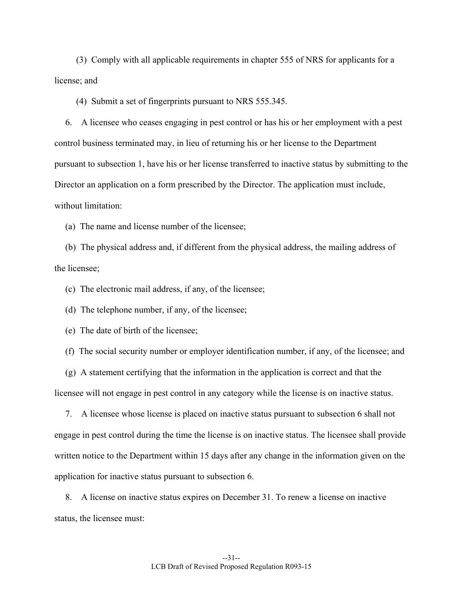(3) Comply with all applicable requirements in chapter 555 of NRS for applicants for a license; and

(4) Submit a set of fingerprints pursuant to NRS 555.345.

 6. A licensee who ceases engaging in pest control or has his or her employment with a pest control business terminated may, in lieu of returning his or her license to the Department pursuant to subsection 1, have his or her license transferred to inactive status by submitting to the Director an application on a form prescribed by the Director. The application must include, without limitation:

(a) The name and license number of the licensee;

 (b) The physical address and, if different from the physical address, the mailing address of the licensee;

(c) The electronic mail address, if any, of the licensee;

(d) The telephone number, if any, of the licensee;

(e) The date of birth of the licensee;

(f) The social security number or employer identification number, if any, of the licensee; and

 (g) A statement certifying that the information in the application is correct and that the licensee will not engage in pest control in any category while the license is on inactive status.

 7. A licensee whose license is placed on inactive status pursuant to subsection 6 shall not engage in pest control during the time the license is on inactive status. The licensee shall provide written notice to the Department within 15 days after any change in the information given on the application for inactive status pursuant to subsection 6.

 8. A license on inactive status expires on December 31. To renew a license on inactive status, the licensee must: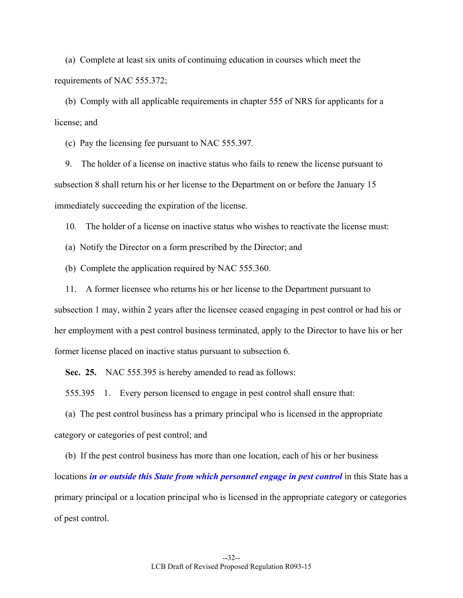(a) Complete at least six units of continuing education in courses which meet the requirements of NAC 555.372;

 (b) Comply with all applicable requirements in chapter 555 of NRS for applicants for a license; and

(c) Pay the licensing fee pursuant to NAC 555.397.

 9. The holder of a license on inactive status who fails to renew the license pursuant to subsection 8 shall return his or her license to the Department on or before the January 15 immediately succeeding the expiration of the license.

10. The holder of a license on inactive status who wishes to reactivate the license must:

(a) Notify the Director on a form prescribed by the Director; and

(b) Complete the application required by NAC 555.360.

 11. A former licensee who returns his or her license to the Department pursuant to subsection 1 may, within 2 years after the licensee ceased engaging in pest control or had his or her employment with a pest control business terminated, apply to the Director to have his or her former license placed on inactive status pursuant to subsection 6.

**Sec. 25.** NAC 555.395 is hereby amended to read as follows:

555.395 1. Every person licensed to engage in pest control shall ensure that:

 (a) The pest control business has a primary principal who is licensed in the appropriate category or categories of pest control; and

 (b) If the pest control business has more than one location, each of his or her business locations *in or outside this State from which personnel engage in pest control* in this State has a primary principal or a location principal who is licensed in the appropriate category or categories of pest control.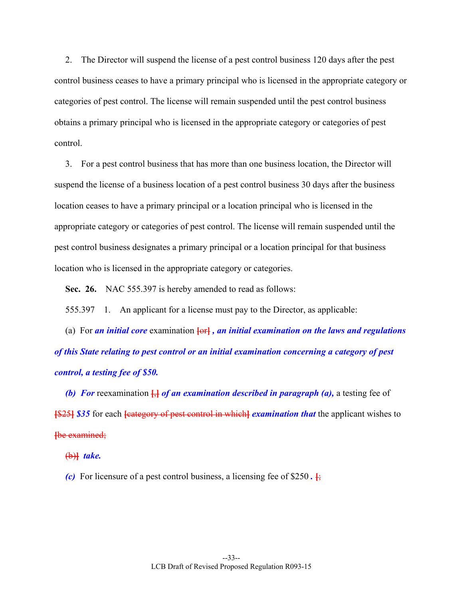2. The Director will suspend the license of a pest control business 120 days after the pest control business ceases to have a primary principal who is licensed in the appropriate category or categories of pest control. The license will remain suspended until the pest control business obtains a primary principal who is licensed in the appropriate category or categories of pest control.

 3. For a pest control business that has more than one business location, the Director will suspend the license of a business location of a pest control business 30 days after the business location ceases to have a primary principal or a location principal who is licensed in the appropriate category or categories of pest control. The license will remain suspended until the pest control business designates a primary principal or a location principal for that business location who is licensed in the appropriate category or categories.

**Sec. 26.** NAC 555.397 is hereby amended to read as follows:

555.397 1. An applicant for a license must pay to the Director, as applicable:

 (a) For *an initial core* examination **[**or**]** *, an initial examination on the laws and regulations of this State relating to pest control or an initial examination concerning a category of pest control, a testing fee of \$50.* 

 *(b) For* reexamination **[**,**]** *of an examination described in paragraph (a),* a testing fee of **[**\$25**]** *\$35* for each **[**category of pest control in which**]** *examination that* the applicant wishes to **[**be examined;

(b)**]** *take.* 

*(c)* For licensure of a pest control business, a licensing fee of \$250.  $\frac{1}{2}$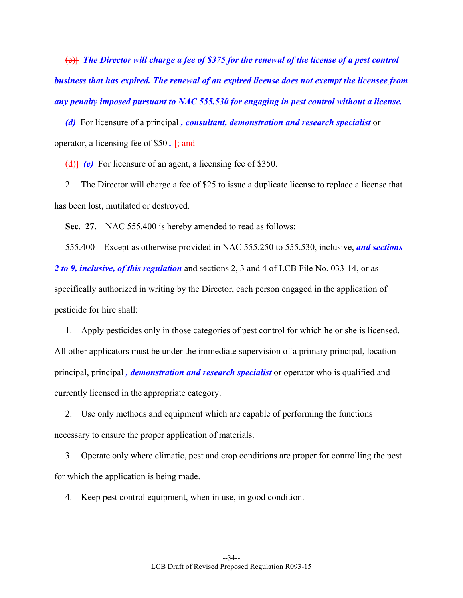(c)**]** *The Director will charge a fee of \$375 for the renewal of the license of a pest control business that has expired. The renewal of an expired license does not exempt the licensee from any penalty imposed pursuant to NAC 555.530 for engaging in pest control without a license.* 

 *(d)* For licensure of a principal *, consultant, demonstration and research specialist* or operator, a licensing fee of \$50 *.* **[**; and

(d)**]** *(e)* For licensure of an agent, a licensing fee of \$350.

 2. The Director will charge a fee of \$25 to issue a duplicate license to replace a license that has been lost, mutilated or destroyed.

**Sec. 27.** NAC 555.400 is hereby amended to read as follows:

 555.400 Except as otherwise provided in NAC 555.250 to 555.530, inclusive, *and sections 2 to 9, inclusive, of this regulation* and sections 2, 3 and 4 of LCB File No. 033-14, or as specifically authorized in writing by the Director, each person engaged in the application of pesticide for hire shall:

 1. Apply pesticides only in those categories of pest control for which he or she is licensed. All other applicators must be under the immediate supervision of a primary principal, location principal, principal *, demonstration and research specialist* or operator who is qualified and currently licensed in the appropriate category.

 2. Use only methods and equipment which are capable of performing the functions necessary to ensure the proper application of materials.

 3. Operate only where climatic, pest and crop conditions are proper for controlling the pest for which the application is being made.

4. Keep pest control equipment, when in use, in good condition.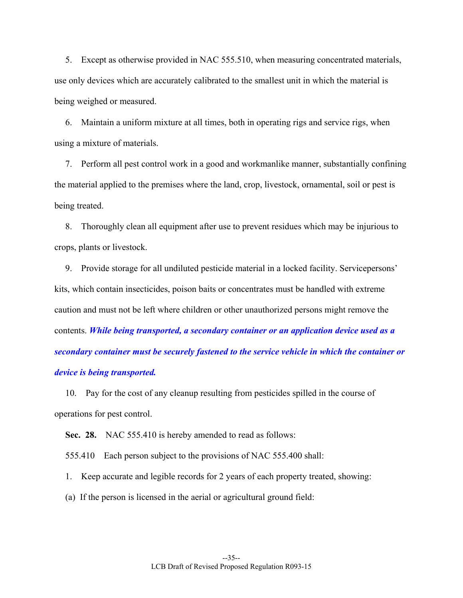5. Except as otherwise provided in NAC 555.510, when measuring concentrated materials, use only devices which are accurately calibrated to the smallest unit in which the material is being weighed or measured.

 6. Maintain a uniform mixture at all times, both in operating rigs and service rigs, when using a mixture of materials.

 7. Perform all pest control work in a good and workmanlike manner, substantially confining the material applied to the premises where the land, crop, livestock, ornamental, soil or pest is being treated.

 8. Thoroughly clean all equipment after use to prevent residues which may be injurious to crops, plants or livestock.

 9. Provide storage for all undiluted pesticide material in a locked facility. Servicepersons' kits, which contain insecticides, poison baits or concentrates must be handled with extreme caution and must not be left where children or other unauthorized persons might remove the contents. *While being transported, a secondary container or an application device used as a secondary container must be securely fastened to the service vehicle in which the container or device is being transported.*

 10. Pay for the cost of any cleanup resulting from pesticides spilled in the course of operations for pest control.

**Sec. 28.** NAC 555.410 is hereby amended to read as follows:

555.410 Each person subject to the provisions of NAC 555.400 shall:

1. Keep accurate and legible records for 2 years of each property treated, showing:

(a) If the person is licensed in the aerial or agricultural ground field: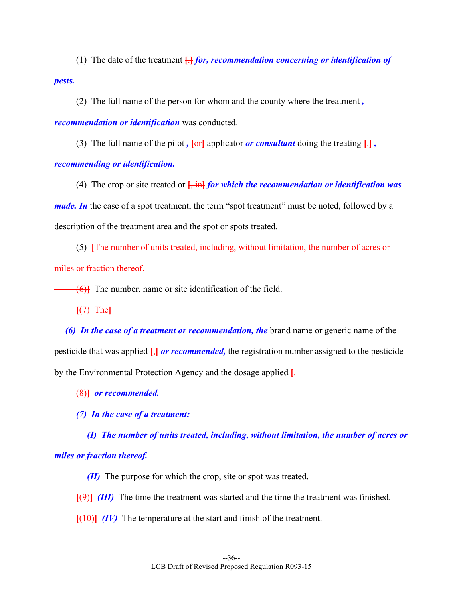(1) The date of the treatment **[**.**]** *for, recommendation concerning or identification of pests.*

(2) The full name of the person for whom and the county where the treatment *,* 

*recommendation or identification* was conducted.

(3) The full name of the pilot,  $\frac{1}{2}$  applicator *or consultant* doing the treating  $\frac{1}{2}$ ,

*recommending or identification.*

 (4) The crop or site treated or **[**, in**]** *for which the recommendation or identification was made. In* the case of a spot treatment, the term "spot treatment" must be noted, followed by a description of the treatment area and the spot or spots treated.

 (5) **[**The number of units treated, including, without limitation, the number of acres or miles or fraction thereof.

(6)**]** The number, name or site identification of the field.

**[**(7) The**]**

 *(6) In the case of a treatment or recommendation, the* brand name or generic name of the pesticide that was applied **[**,**]** *or recommended,* the registration number assigned to the pesticide by the Environmental Protection Agency and the dosage applied **[**.

(8)**]** *or recommended.* 

 *(7) In the case of a treatment:* 

 *(I) The number of units treated, including, without limitation, the number of acres or miles or fraction thereof.* 

 *(II)* The purpose for which the crop, site or spot was treated.

**[**(9)**]** *(III)* The time the treatment was started and the time the treatment was finished.

**[**(10)**]** *(IV)* The temperature at the start and finish of the treatment.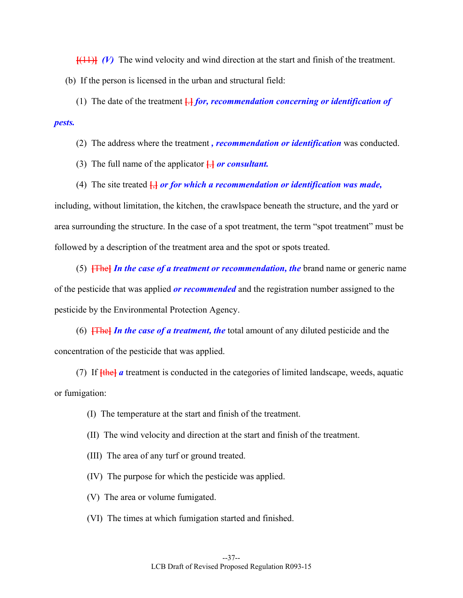**[**(11)**]** *(V)* The wind velocity and wind direction at the start and finish of the treatment. (b) If the person is licensed in the urban and structural field:

 (1) The date of the treatment **[**.**]** *for, recommendation concerning or identification of pests.*

(2) The address where the treatment *, recommendation or identification* was conducted.

(3) The full name of the applicator **[**.**]** *or consultant.*

(4) The site treated **[**,**]** *or for which a recommendation or identification was made,* 

including, without limitation, the kitchen, the crawlspace beneath the structure, and the yard or area surrounding the structure. In the case of a spot treatment, the term "spot treatment" must be followed by a description of the treatment area and the spot or spots treated.

 (5) **[**The**]** *In the case of a treatment or recommendation, the* brand name or generic name of the pesticide that was applied *or recommended* and the registration number assigned to the pesticide by the Environmental Protection Agency.

 (6) **[**The**]** *In the case of a treatment, the* total amount of any diluted pesticide and the concentration of the pesticide that was applied.

 (7) If **[**the**]** *a* treatment is conducted in the categories of limited landscape, weeds, aquatic or fumigation:

- (I) The temperature at the start and finish of the treatment.
- (II) The wind velocity and direction at the start and finish of the treatment.
- (III) The area of any turf or ground treated.
- (IV) The purpose for which the pesticide was applied.
- (V) The area or volume fumigated.
- (VI) The times at which fumigation started and finished.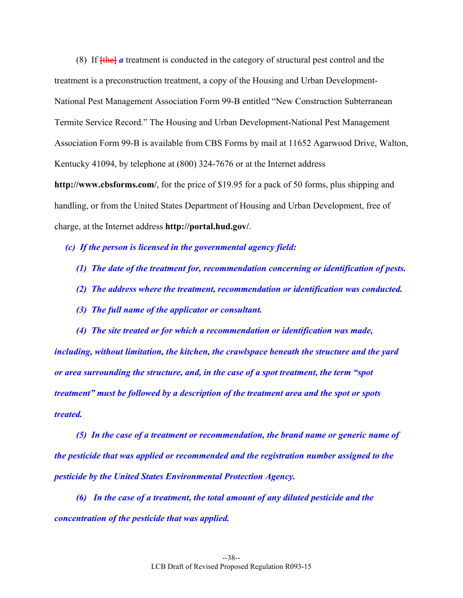(8) If **[**the**]** *a* treatment is conducted in the category of structural pest control and the treatment is a preconstruction treatment, a copy of the Housing and Urban Development-National Pest Management Association Form 99-B entitled "New Construction Subterranean Termite Service Record." The Housing and Urban Development-National Pest Management Association Form 99-B is available from CBS Forms by mail at 11652 Agarwood Drive, Walton, Kentucky 41094, by telephone at (800) 324-7676 or at the Internet address **http://www.cbsforms.com/**, for the price of \$19.95 for a pack of 50 forms, plus shipping and handling, or from the United States Department of Housing and Urban Development, free of charge, at the Internet address **http://portal.hud.gov/**.

 *(c) If the person is licensed in the governmental agency field:* 

- *(1) The date of the treatment for, recommendation concerning or identification of pests.*
- *(2) The address where the treatment, recommendation or identification was conducted.*
- *(3) The full name of the applicator or consultant.*

 *(4) The site treated or for which a recommendation or identification was made, including, without limitation, the kitchen, the crawlspace beneath the structure and the yard or area surrounding the structure, and, in the case of a spot treatment, the term "spot treatment" must be followed by a description of the treatment area and the spot or spots treated.* 

 *(5) In the case of a treatment or recommendation, the brand name or generic name of the pesticide that was applied or recommended and the registration number assigned to the pesticide by the United States Environmental Protection Agency.* 

 *(6) In the case of a treatment, the total amount of any diluted pesticide and the concentration of the pesticide that was applied.*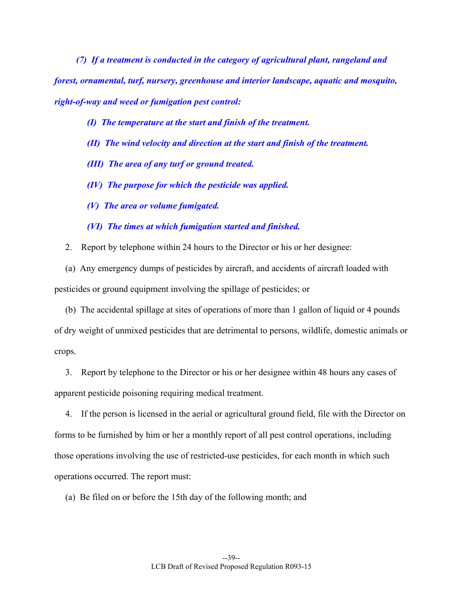*(7) If a treatment is conducted in the category of agricultural plant, rangeland and forest, ornamental, turf, nursery, greenhouse and interior landscape, aquatic and mosquito, right-of-way and weed or fumigation pest control:* 

- *(I) The temperature at the start and finish of the treatment.*
- *(II) The wind velocity and direction at the start and finish of the treatment.*
- *(III) The area of any turf or ground treated.*
- *(IV) The purpose for which the pesticide was applied.*
- *(V) The area or volume fumigated.*
- *(VI) The times at which fumigation started and finished.*
- 2. Report by telephone within 24 hours to the Director or his or her designee:

 (a) Any emergency dumps of pesticides by aircraft, and accidents of aircraft loaded with pesticides or ground equipment involving the spillage of pesticides; or

 (b) The accidental spillage at sites of operations of more than 1 gallon of liquid or 4 pounds of dry weight of unmixed pesticides that are detrimental to persons, wildlife, domestic animals or crops.

 3. Report by telephone to the Director or his or her designee within 48 hours any cases of apparent pesticide poisoning requiring medical treatment.

 4. If the person is licensed in the aerial or agricultural ground field, file with the Director on forms to be furnished by him or her a monthly report of all pest control operations, including those operations involving the use of restricted-use pesticides, for each month in which such operations occurred. The report must:

(a) Be filed on or before the 15th day of the following month; and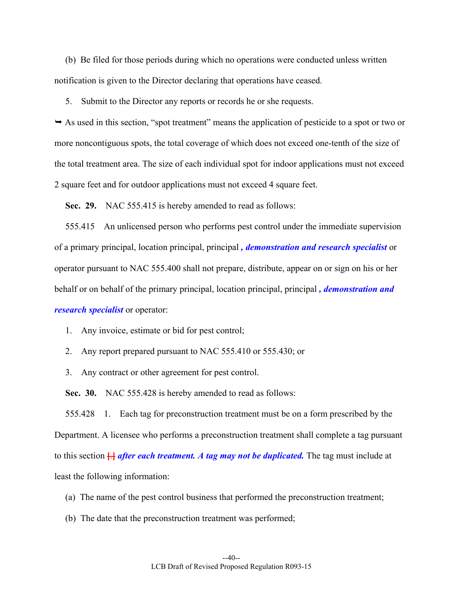(b) Be filed for those periods during which no operations were conducted unless written notification is given to the Director declaring that operations have ceased.

5. Submit to the Director any reports or records he or she requests.

 As used in this section, "spot treatment" means the application of pesticide to a spot or two or more noncontiguous spots, the total coverage of which does not exceed one-tenth of the size of the total treatment area. The size of each individual spot for indoor applications must not exceed 2 square feet and for outdoor applications must not exceed 4 square feet.

 **Sec. 29.** NAC 555.415 is hereby amended to read as follows:

 555.415 An unlicensed person who performs pest control under the immediate supervision of a primary principal, location principal, principal *, demonstration and research specialist* or operator pursuant to NAC 555.400 shall not prepare, distribute, appear on or sign on his or her behalf or on behalf of the primary principal, location principal, principal *, demonstration and research specialist* or operator:

1. Any invoice, estimate or bid for pest control;

2. Any report prepared pursuant to NAC 555.410 or 555.430; or

3. Any contract or other agreement for pest control.

 **Sec. 30.** NAC 555.428 is hereby amended to read as follows:

 555.428 1. Each tag for preconstruction treatment must be on a form prescribed by the Department. A licensee who performs a preconstruction treatment shall complete a tag pursuant to this section **[**.**]** *after each treatment. A tag may not be duplicated.* The tag must include at least the following information:

(a) The name of the pest control business that performed the preconstruction treatment;

(b) The date that the preconstruction treatment was performed;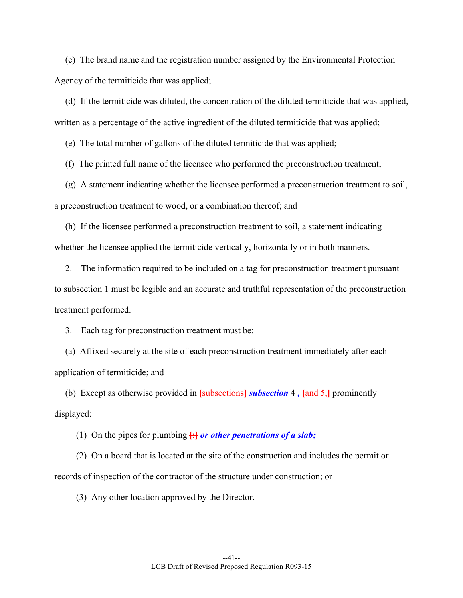(c) The brand name and the registration number assigned by the Environmental Protection Agency of the termiticide that was applied;

 (d) If the termiticide was diluted, the concentration of the diluted termiticide that was applied, written as a percentage of the active ingredient of the diluted termiticide that was applied;

(e) The total number of gallons of the diluted termiticide that was applied;

(f) The printed full name of the licensee who performed the preconstruction treatment;

 (g) A statement indicating whether the licensee performed a preconstruction treatment to soil, a preconstruction treatment to wood, or a combination thereof; and

 (h) If the licensee performed a preconstruction treatment to soil, a statement indicating whether the licensee applied the termiticide vertically, horizontally or in both manners.

 2. The information required to be included on a tag for preconstruction treatment pursuant to subsection 1 must be legible and an accurate and truthful representation of the preconstruction treatment performed.

3. Each tag for preconstruction treatment must be:

 (a) Affixed securely at the site of each preconstruction treatment immediately after each application of termiticide; and

 (b) Except as otherwise provided in **[**subsections**]** *subsection* 4 *,* **[**and 5,**]** prominently displayed:

(1) On the pipes for plumbing  $\frac{1}{2}$  *or other penetrations of a slab*;

 (2) On a board that is located at the site of the construction and includes the permit or records of inspection of the contractor of the structure under construction; or

(3) Any other location approved by the Director.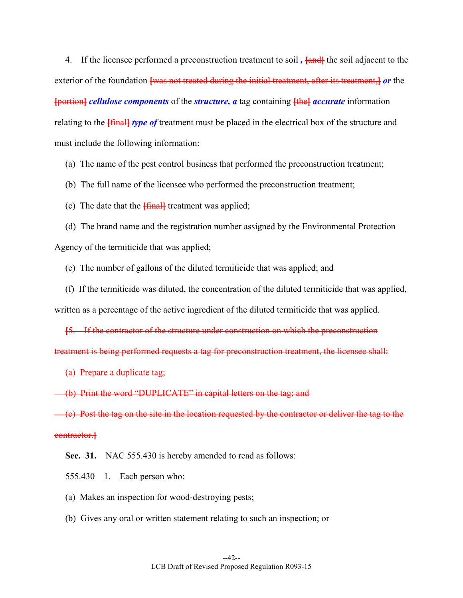4. If the licensee performed a preconstruction treatment to soil *,* **[**and**]** the soil adjacent to the exterior of the foundation **[**was not treated during the initial treatment, after its treatment,**]** *or* the **[**portion**]** *cellulose components* of the *structure, a* tag containing **[**the**]** *accurate* information relating to the **[**final**]** *type of* treatment must be placed in the electrical box of the structure and must include the following information:

(a) The name of the pest control business that performed the preconstruction treatment;

(b) The full name of the licensee who performed the preconstruction treatment;

(c) The date that the **[**final**]** treatment was applied;

 (d) The brand name and the registration number assigned by the Environmental Protection Agency of the termiticide that was applied;

(e) The number of gallons of the diluted termiticide that was applied; and

 (f) If the termiticide was diluted, the concentration of the diluted termiticide that was applied, written as a percentage of the active ingredient of the diluted termiticide that was applied.

**[**5. If the contractor of the structure under construction on which the preconstruction treatment is being performed requests a tag for preconstruction treatment, the licensee shall:

(a) Prepare a duplicate tag;

(b) Print the word "DUPLICATE" in capital letters on the tag; and

 $(\epsilon)$  Post the tag on the site in the location requested by the contractor or deliver the tag to the contractor.**]**

Sec. 31. NAC 555.430 is hereby amended to read as follows:

555.430 1. Each person who:

(a) Makes an inspection for wood-destroying pests;

(b) Gives any oral or written statement relating to such an inspection; or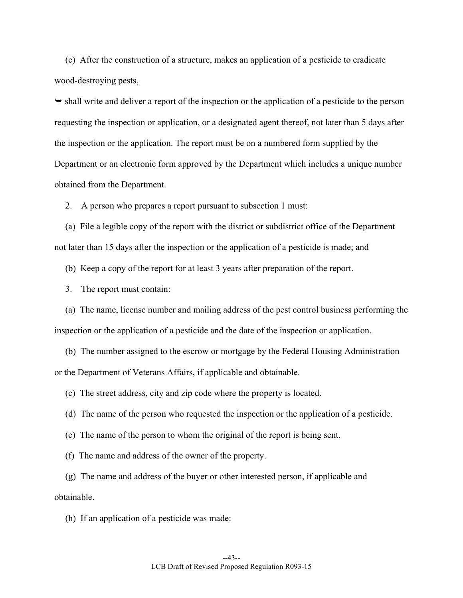(c) After the construction of a structure, makes an application of a pesticide to eradicate wood-destroying pests,

 $\rightarrow$  shall write and deliver a report of the inspection or the application of a pesticide to the person requesting the inspection or application, or a designated agent thereof, not later than 5 days after the inspection or the application. The report must be on a numbered form supplied by the Department or an electronic form approved by the Department which includes a unique number obtained from the Department.

2. A person who prepares a report pursuant to subsection 1 must:

 (a) File a legible copy of the report with the district or subdistrict office of the Department not later than 15 days after the inspection or the application of a pesticide is made; and

(b) Keep a copy of the report for at least 3 years after preparation of the report.

3. The report must contain:

 (a) The name, license number and mailing address of the pest control business performing the inspection or the application of a pesticide and the date of the inspection or application.

 (b) The number assigned to the escrow or mortgage by the Federal Housing Administration or the Department of Veterans Affairs, if applicable and obtainable.

(c) The street address, city and zip code where the property is located.

(d) The name of the person who requested the inspection or the application of a pesticide.

(e) The name of the person to whom the original of the report is being sent.

(f) The name and address of the owner of the property.

 (g) The name and address of the buyer or other interested person, if applicable and obtainable.

(h) If an application of a pesticide was made: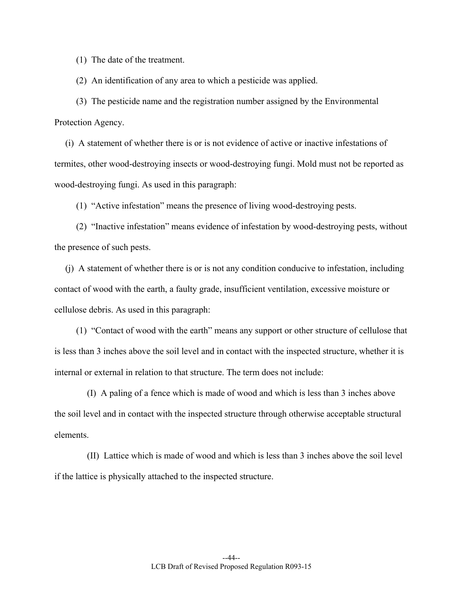(1) The date of the treatment.

(2) An identification of any area to which a pesticide was applied.

 (3) The pesticide name and the registration number assigned by the Environmental Protection Agency.

 (i) A statement of whether there is or is not evidence of active or inactive infestations of termites, other wood-destroying insects or wood-destroying fungi. Mold must not be reported as wood-destroying fungi. As used in this paragraph:

(1) "Active infestation" means the presence of living wood-destroying pests.

 (2) "Inactive infestation" means evidence of infestation by wood-destroying pests, without the presence of such pests.

 (j) A statement of whether there is or is not any condition conducive to infestation, including contact of wood with the earth, a faulty grade, insufficient ventilation, excessive moisture or cellulose debris. As used in this paragraph:

 (1) "Contact of wood with the earth" means any support or other structure of cellulose that is less than 3 inches above the soil level and in contact with the inspected structure, whether it is internal or external in relation to that structure. The term does not include:

 (I) A paling of a fence which is made of wood and which is less than 3 inches above the soil level and in contact with the inspected structure through otherwise acceptable structural elements.

 (II) Lattice which is made of wood and which is less than 3 inches above the soil level if the lattice is physically attached to the inspected structure.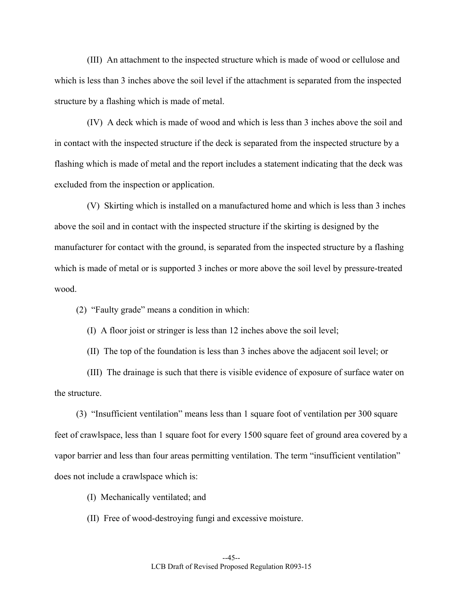(III) An attachment to the inspected structure which is made of wood or cellulose and which is less than 3 inches above the soil level if the attachment is separated from the inspected structure by a flashing which is made of metal.

 (IV) A deck which is made of wood and which is less than 3 inches above the soil and in contact with the inspected structure if the deck is separated from the inspected structure by a flashing which is made of metal and the report includes a statement indicating that the deck was excluded from the inspection or application.

 (V) Skirting which is installed on a manufactured home and which is less than 3 inches above the soil and in contact with the inspected structure if the skirting is designed by the manufacturer for contact with the ground, is separated from the inspected structure by a flashing which is made of metal or is supported 3 inches or more above the soil level by pressure-treated wood.

(2) "Faulty grade" means a condition in which:

(I) A floor joist or stringer is less than 12 inches above the soil level;

(II) The top of the foundation is less than 3 inches above the adjacent soil level; or

 (III) The drainage is such that there is visible evidence of exposure of surface water on the structure.

 (3) "Insufficient ventilation" means less than 1 square foot of ventilation per 300 square feet of crawlspace, less than 1 square foot for every 1500 square feet of ground area covered by a vapor barrier and less than four areas permitting ventilation. The term "insufficient ventilation" does not include a crawlspace which is:

(I) Mechanically ventilated; and

(II) Free of wood-destroying fungi and excessive moisture.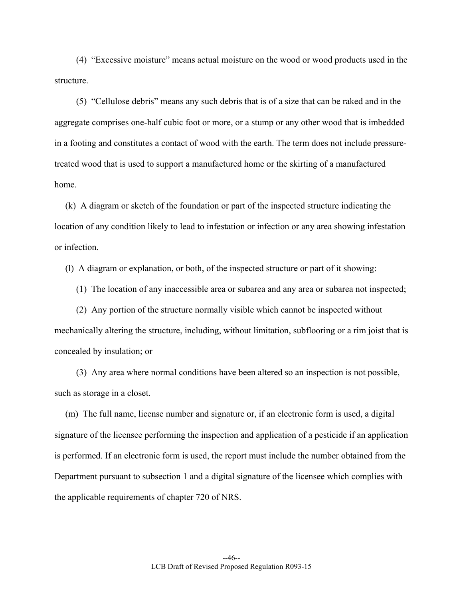(4) "Excessive moisture" means actual moisture on the wood or wood products used in the structure.

 (5) "Cellulose debris" means any such debris that is of a size that can be raked and in the aggregate comprises one-half cubic foot or more, or a stump or any other wood that is imbedded in a footing and constitutes a contact of wood with the earth. The term does not include pressuretreated wood that is used to support a manufactured home or the skirting of a manufactured home.

 (k) A diagram or sketch of the foundation or part of the inspected structure indicating the location of any condition likely to lead to infestation or infection or any area showing infestation or infection.

(l) A diagram or explanation, or both, of the inspected structure or part of it showing:

(1) The location of any inaccessible area or subarea and any area or subarea not inspected;

 (2) Any portion of the structure normally visible which cannot be inspected without mechanically altering the structure, including, without limitation, subflooring or a rim joist that is concealed by insulation; or

 (3) Any area where normal conditions have been altered so an inspection is not possible, such as storage in a closet.

 (m) The full name, license number and signature or, if an electronic form is used, a digital signature of the licensee performing the inspection and application of a pesticide if an application is performed. If an electronic form is used, the report must include the number obtained from the Department pursuant to subsection 1 and a digital signature of the licensee which complies with the applicable requirements of chapter 720 of NRS.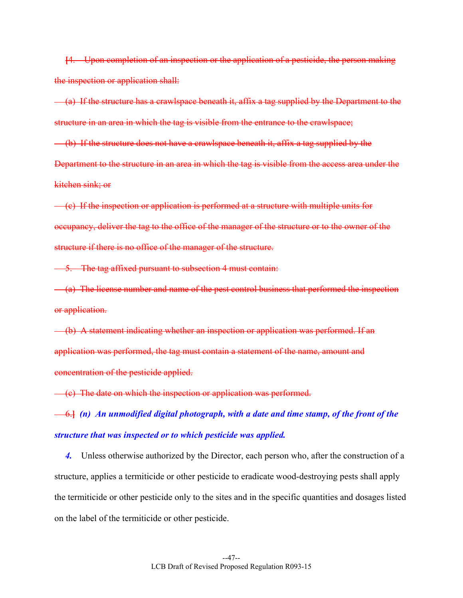**[**4. Upon completion of an inspection or the application of a pesticide, the person making the inspection or application shall:

 (a) If the structure has a crawlspace beneath it, affix a tag supplied by the Department to the structure in an area in which the tag is visible from the entrance to the crawlspace;

 (b) If the structure does not have a crawlspace beneath it, affix a tag supplied by the Department to the structure in an area in which the tag is visible from the access area under the kitchen sink; or

 (c) If the inspection or application is performed at a structure with multiple units for occupancy, deliver the tag to the office of the manager of the structure or to the owner of the structure if there is no office of the manager of the structure.

5. The tag affixed pursuant to subsection 4 must contain:

 (a) The license number and name of the pest control business that performed the inspection or application.

 (b) A statement indicating whether an inspection or application was performed. If an application was performed, the tag must contain a statement of the name, amount and concentration of the pesticide applied.

(c) The date on which the inspection or application was performed.

 6.**]** *(n) An unmodified digital photograph, with a date and time stamp, of the front of the structure that was inspected or to which pesticide was applied.* 

4. Unless otherwise authorized by the Director, each person who, after the construction of a structure, applies a termiticide or other pesticide to eradicate wood-destroying pests shall apply the termiticide or other pesticide only to the sites and in the specific quantities and dosages listed on the label of the termiticide or other pesticide.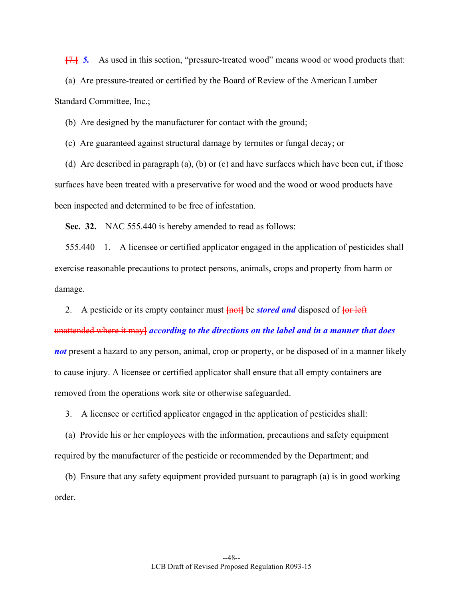**[**7.**]** *5.* As used in this section, "pressure-treated wood" means wood or wood products that:

 (a) Are pressure-treated or certified by the Board of Review of the American Lumber Standard Committee, Inc.;

(b) Are designed by the manufacturer for contact with the ground;

(c) Are guaranteed against structural damage by termites or fungal decay; or

 (d) Are described in paragraph (a), (b) or (c) and have surfaces which have been cut, if those surfaces have been treated with a preservative for wood and the wood or wood products have been inspected and determined to be free of infestation.

 **Sec. 32.** NAC 555.440 is hereby amended to read as follows:

 555.440 1. A licensee or certified applicator engaged in the application of pesticides shall exercise reasonable precautions to protect persons, animals, crops and property from harm or damage.

 2. A pesticide or its empty container must **[**not**]** be *stored and* disposed of **[**or left unattended where it may**]** *according to the directions on the label and in a manner that does not* present a hazard to any person, animal, crop or property, or be disposed of in a manner likely to cause injury. A licensee or certified applicator shall ensure that all empty containers are removed from the operations work site or otherwise safeguarded.

3. A licensee or certified applicator engaged in the application of pesticides shall:

 (a) Provide his or her employees with the information, precautions and safety equipment required by the manufacturer of the pesticide or recommended by the Department; and

 (b) Ensure that any safety equipment provided pursuant to paragraph (a) is in good working order.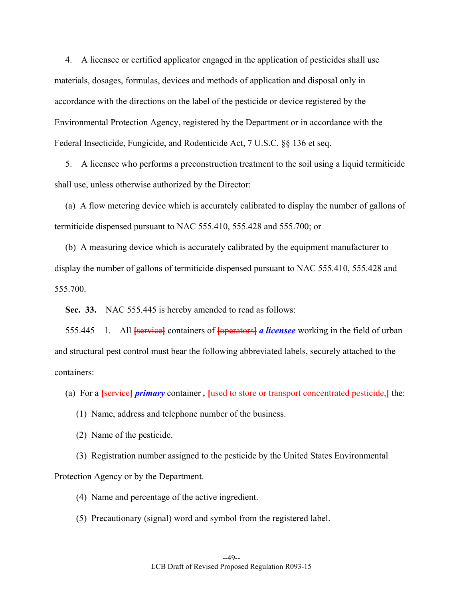4. A licensee or certified applicator engaged in the application of pesticides shall use materials, dosages, formulas, devices and methods of application and disposal only in accordance with the directions on the label of the pesticide or device registered by the Environmental Protection Agency, registered by the Department or in accordance with the Federal Insecticide, Fungicide, and Rodenticide Act, 7 U.S.C. §§ 136 et seq.

 5. A licensee who performs a preconstruction treatment to the soil using a liquid termiticide shall use, unless otherwise authorized by the Director:

 (a) A flow metering device which is accurately calibrated to display the number of gallons of termiticide dispensed pursuant to NAC 555.410, 555.428 and 555.700; or

 (b) A measuring device which is accurately calibrated by the equipment manufacturer to display the number of gallons of termiticide dispensed pursuant to NAC 555.410, 555.428 and 555.700.

 **Sec. 33.** NAC 555.445 is hereby amended to read as follows:

 555.445 1. All **[**service**]** containers of **[**operators**]** *a licensee* working in the field of urban and structural pest control must bear the following abbreviated labels, securely attached to the containers:

(a) For a **[**service**]** *primary* container *,* **[**used to store or transport concentrated pesticide,**]** the:

(1) Name, address and telephone number of the business.

(2) Name of the pesticide.

 (3) Registration number assigned to the pesticide by the United States Environmental Protection Agency or by the Department.

(4) Name and percentage of the active ingredient.

(5) Precautionary (signal) word and symbol from the registered label.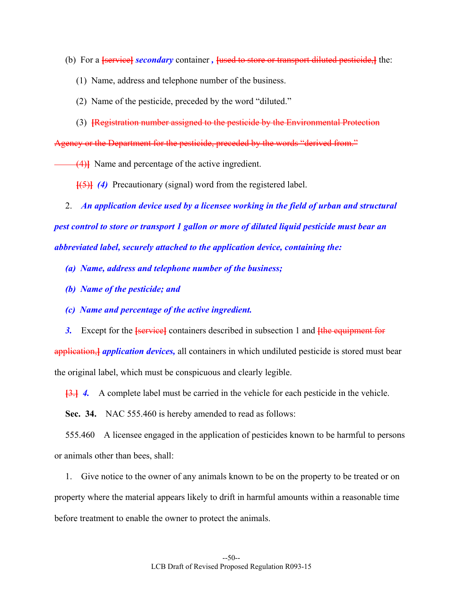- (b) For a **[**service**]** *secondary* container *,* **[**used to store or transport diluted pesticide,**]** the:
	- (1) Name, address and telephone number of the business.
	- (2) Name of the pesticide, preceded by the word "diluted."
	- (3) **[**Registration number assigned to the pesticide by the Environmental Protection

Agency or the Department for the pesticide, preceded by the words "derived from."

(4)**]** Name and percentage of the active ingredient.

**[**(5)**]** *(4)* Precautionary (signal) word from the registered label.

2. *An application device used by a licensee working in the field of urban and structural pest control to store or transport 1 gallon or more of diluted liquid pesticide must bear an abbreviated label, securely attached to the application device, containing the:* 

- *(a) Name, address and telephone number of the business;*
- *(b) Name of the pesticide; and*
- *(c) Name and percentage of the active ingredient.*
- *3.* Except for the **[**service**]** containers described in subsection 1 and **[**the equipment for

application,**]** *application devices,* all containers in which undiluted pesticide is stored must bear the original label, which must be conspicuous and clearly legible.

**[**3.**]** *4.* A complete label must be carried in the vehicle for each pesticide in the vehicle.

**Sec. 34.** NAC 555.460 is hereby amended to read as follows:

 555.460 A licensee engaged in the application of pesticides known to be harmful to persons or animals other than bees, shall:

 1. Give notice to the owner of any animals known to be on the property to be treated or on property where the material appears likely to drift in harmful amounts within a reasonable time before treatment to enable the owner to protect the animals.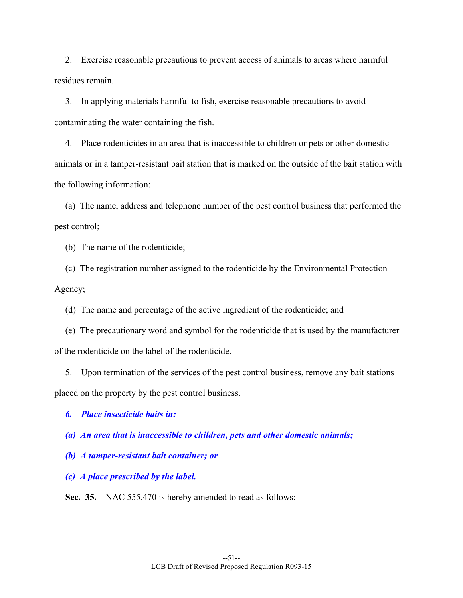2. Exercise reasonable precautions to prevent access of animals to areas where harmful residues remain.

 3. In applying materials harmful to fish, exercise reasonable precautions to avoid contaminating the water containing the fish.

 4. Place rodenticides in an area that is inaccessible to children or pets or other domestic animals or in a tamper-resistant bait station that is marked on the outside of the bait station with the following information:

 (a) The name, address and telephone number of the pest control business that performed the pest control;

(b) The name of the rodenticide;

 (c) The registration number assigned to the rodenticide by the Environmental Protection Agency;

(d) The name and percentage of the active ingredient of the rodenticide; and

 (e) The precautionary word and symbol for the rodenticide that is used by the manufacturer of the rodenticide on the label of the rodenticide.

 5. Upon termination of the services of the pest control business, remove any bait stations placed on the property by the pest control business.

 *6. Place insecticide baits in:* 

 *(a) An area that is inaccessible to children, pets and other domestic animals;* 

 *(b) A tamper-resistant bait container; or* 

 *(c) A place prescribed by the label.* 

 **Sec. 35.** NAC 555.470 is hereby amended to read as follows: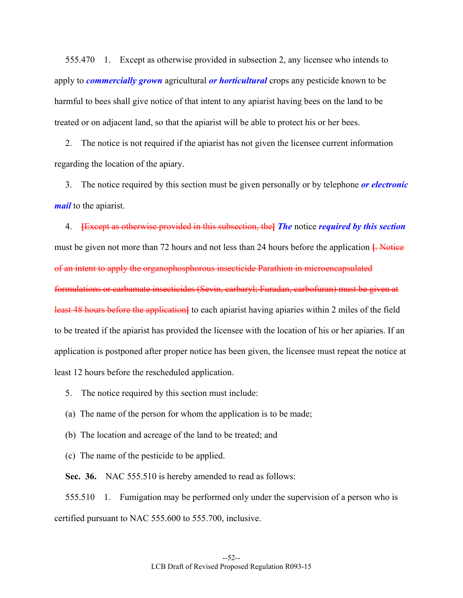555.470 1. Except as otherwise provided in subsection 2, any licensee who intends to apply to *commercially grown* agricultural *or horticultural* crops any pesticide known to be harmful to bees shall give notice of that intent to any apiarist having bees on the land to be treated or on adjacent land, so that the apiarist will be able to protect his or her bees.

 2. The notice is not required if the apiarist has not given the licensee current information regarding the location of the apiary.

 3. The notice required by this section must be given personally or by telephone *or electronic mail* to the apiarist.

 4. **[**Except as otherwise provided in this subsection, the**]** *The* notice *required by this section*  must be given not more than 72 hours and not less than 24 hours before the application **[**. Notice of an intent to apply the organophosphorous insecticide Parathion in microencapsulated formulations or carbamate insecticides (Sevin, carbaryl; Furadan, carbofuran) must be given at least 48 hours before the application**]** to each apiarist having apiaries within 2 miles of the field to be treated if the apiarist has provided the licensee with the location of his or her apiaries. If an application is postponed after proper notice has been given, the licensee must repeat the notice at least 12 hours before the rescheduled application.

5. The notice required by this section must include:

(a) The name of the person for whom the application is to be made;

(b) The location and acreage of the land to be treated; and

(c) The name of the pesticide to be applied.

**Sec. 36.** NAC 555.510 is hereby amended to read as follows:

 555.510 1. Fumigation may be performed only under the supervision of a person who is certified pursuant to NAC 555.600 to 555.700, inclusive.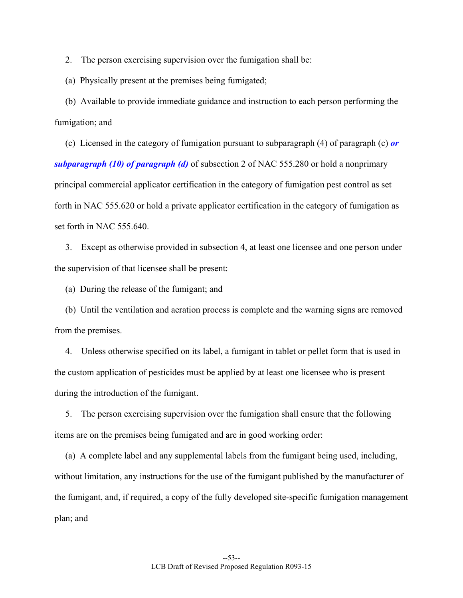2. The person exercising supervision over the fumigation shall be:

(a) Physically present at the premises being fumigated;

 (b) Available to provide immediate guidance and instruction to each person performing the fumigation; and

 (c) Licensed in the category of fumigation pursuant to subparagraph (4) of paragraph (c) *or subparagraph (10) of paragraph (d)* of subsection 2 of NAC 555.280 or hold a nonprimary principal commercial applicator certification in the category of fumigation pest control as set forth in NAC 555.620 or hold a private applicator certification in the category of fumigation as set forth in NAC 555.640.

 3. Except as otherwise provided in subsection 4, at least one licensee and one person under the supervision of that licensee shall be present:

(a) During the release of the fumigant; and

 (b) Until the ventilation and aeration process is complete and the warning signs are removed from the premises.

 4. Unless otherwise specified on its label, a fumigant in tablet or pellet form that is used in the custom application of pesticides must be applied by at least one licensee who is present during the introduction of the fumigant.

 5. The person exercising supervision over the fumigation shall ensure that the following items are on the premises being fumigated and are in good working order:

 (a) A complete label and any supplemental labels from the fumigant being used, including, without limitation, any instructions for the use of the fumigant published by the manufacturer of the fumigant, and, if required, a copy of the fully developed site-specific fumigation management plan; and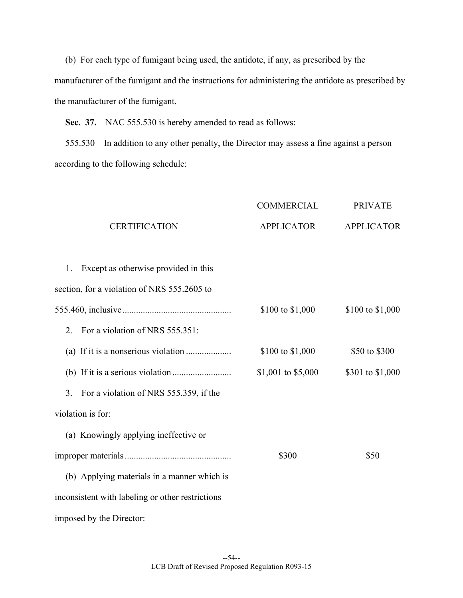(b) For each type of fumigant being used, the antidote, if any, as prescribed by the manufacturer of the fumigant and the instructions for administering the antidote as prescribed by the manufacturer of the fumigant.

Sec. 37. NAC 555.530 is hereby amended to read as follows:

 555.530 In addition to any other penalty, the Director may assess a fine against a person according to the following schedule:

|                                                  | <b>COMMERCIAL</b>  | <b>PRIVATE</b>    |
|--------------------------------------------------|--------------------|-------------------|
| <b>CERTIFICATION</b>                             | <b>APPLICATOR</b>  | <b>APPLICATOR</b> |
| Except as otherwise provided in this<br>1.       |                    |                   |
| section, for a violation of NRS 555.2605 to      |                    |                   |
|                                                  | \$100 to \$1,000   | \$100 to \$1,000  |
| For a violation of NRS 555.351:<br>2.            |                    |                   |
|                                                  | \$100 to \$1,000   | \$50 to \$300     |
|                                                  | \$1,001 to \$5,000 | \$301 to \$1,000  |
| For a violation of NRS 555.359, if the<br>3.     |                    |                   |
| violation is for:                                |                    |                   |
| (a) Knowingly applying ineffective or            |                    |                   |
|                                                  | \$300              | \$50              |
| (b) Applying materials in a manner which is      |                    |                   |
| inconsistent with labeling or other restrictions |                    |                   |
| imposed by the Director:                         |                    |                   |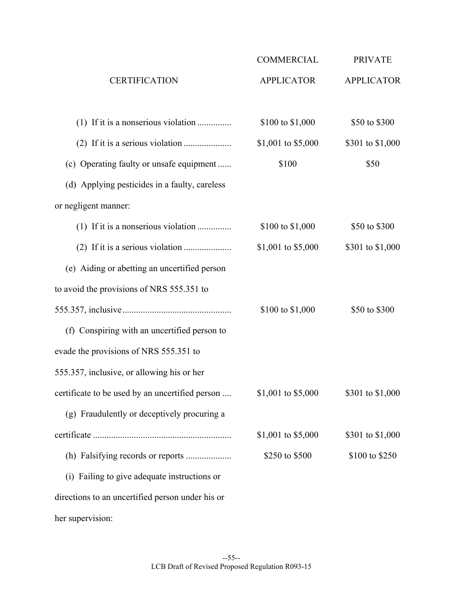|                                                  | <b>COMMERCIAL</b>  | <b>PRIVATE</b>    |
|--------------------------------------------------|--------------------|-------------------|
| <b>CERTIFICATION</b>                             | <b>APPLICATOR</b>  | <b>APPLICATOR</b> |
|                                                  | \$100 to \$1,000   | \$50 to \$300     |
|                                                  | \$1,001 to \$5,000 | \$301 to \$1,000  |
| (c) Operating faulty or unsafe equipment         | \$100              | \$50              |
| (d) Applying pesticides in a faulty, careless    |                    |                   |
| or negligent manner:                             |                    |                   |
| (1) If it is a nonserious violation              | \$100 to \$1,000   | \$50 to \$300     |
|                                                  | \$1,001 to \$5,000 | \$301 to \$1,000  |
| (e) Aiding or abetting an uncertified person     |                    |                   |
| to avoid the provisions of NRS 555.351 to        |                    |                   |
|                                                  | \$100 to \$1,000   | \$50 to \$300     |
| (f) Conspiring with an uncertified person to     |                    |                   |
| evade the provisions of NRS 555.351 to           |                    |                   |
| 555.357, inclusive, or allowing his or her       |                    |                   |
| certificate to be used by an uncertified person  | \$1,001 to \$5,000 | \$301 to \$1,000  |
| (g) Fraudulently or deceptively procuring a      |                    |                   |
|                                                  | \$1,001 to \$5,000 | \$301 to \$1,000  |
|                                                  | \$250 to \$500     | \$100 to \$250    |
| (i) Failing to give adequate instructions or     |                    |                   |
| directions to an uncertified person under his or |                    |                   |
| her supervision:                                 |                    |                   |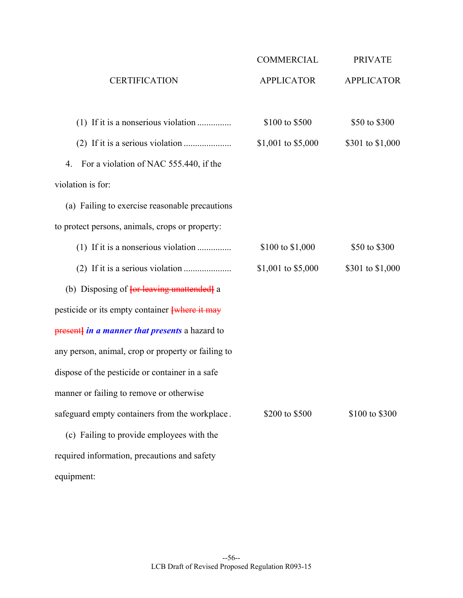|                                                    | COMMERCIAL         | <b>PRIVATE</b>    |
|----------------------------------------------------|--------------------|-------------------|
| <b>CERTIFICATION</b>                               | <b>APPLICATOR</b>  | <b>APPLICATOR</b> |
|                                                    | \$100 to \$500     | \$50 to \$300     |
|                                                    | \$1,001 to \$5,000 | \$301 to \$1,000  |
| For a violation of NAC 555.440, if the<br>4.       |                    |                   |
| violation is for:                                  |                    |                   |
| (a) Failing to exercise reasonable precautions     |                    |                   |
| to protect persons, animals, crops or property:    |                    |                   |
| (1) If it is a nonserious violation                | \$100 to \$1,000   | \$50 to \$300     |
|                                                    | \$1,001 to \$5,000 | \$301 to \$1,000  |
| (b) Disposing of <b>{or leaving unattended}</b> a  |                    |                   |
| pesticide or its empty container where it may      |                    |                   |
| present) in a manner that presents a hazard to     |                    |                   |
| any person, animal, crop or property or failing to |                    |                   |
| dispose of the pesticide or container in a safe    |                    |                   |
| manner or failing to remove or otherwise           |                    |                   |
| safeguard empty containers from the workplace.     | \$200 to \$500     | \$100 to \$300    |
| (c) Failing to provide employees with the          |                    |                   |
| required information, precautions and safety       |                    |                   |
| equipment:                                         |                    |                   |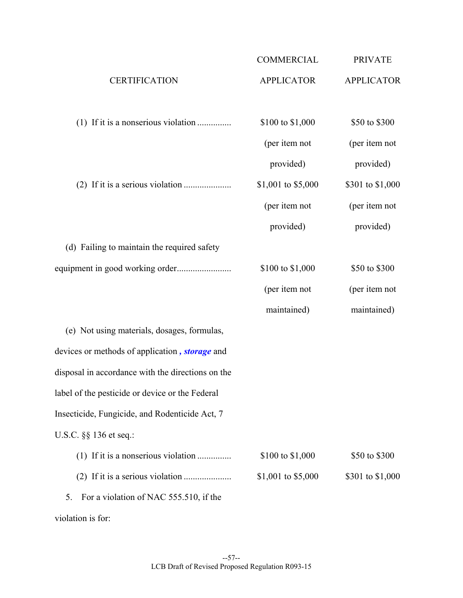|                                                   | <b>COMMERCIAL</b>  | <b>PRIVATE</b>    |
|---------------------------------------------------|--------------------|-------------------|
| <b>CERTIFICATION</b>                              | <b>APPLICATOR</b>  | <b>APPLICATOR</b> |
|                                                   | \$100 to \$1,000   | \$50 to \$300     |
|                                                   | (per item not      | (per item not     |
|                                                   | provided)          | provided)         |
|                                                   | \$1,001 to \$5,000 | \$301 to \$1,000  |
|                                                   | (per item not      | (per item not     |
|                                                   | provided)          | provided)         |
| (d) Failing to maintain the required safety       |                    |                   |
|                                                   | \$100 to \$1,000   | \$50 to \$300     |
|                                                   | (per item not      | (per item not     |
|                                                   | maintained)        | maintained)       |
| (e) Not using materials, dosages, formulas,       |                    |                   |
| devices or methods of application, storage and    |                    |                   |
| disposal in accordance with the directions on the |                    |                   |
| label of the pesticide or device or the Federal   |                    |                   |
| Insecticide, Fungicide, and Rodenticide Act, 7    |                    |                   |
| U.S.C. §§ 136 et seq.:                            |                    |                   |
|                                                   | \$100 to \$1,000   | \$50 to \$300     |
|                                                   | \$1,001 to \$5,000 | \$301 to \$1,000  |
| For a violation of NAC 555.510, if the<br>5.      |                    |                   |
| violation is for:                                 |                    |                   |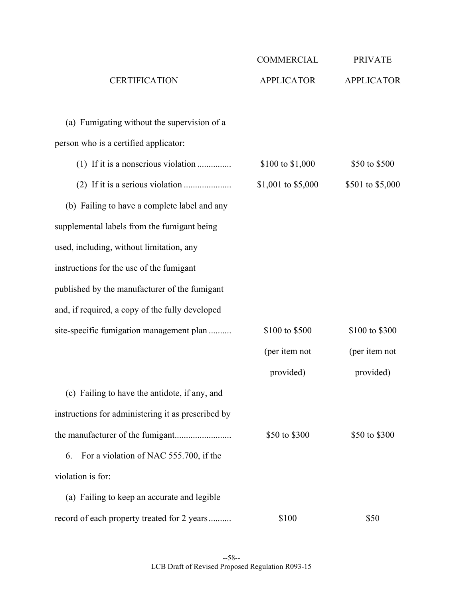|                                                    | <b>COMMERCIAL</b>  | <b>PRIVATE</b>    |
|----------------------------------------------------|--------------------|-------------------|
| <b>CERTIFICATION</b>                               | <b>APPLICATOR</b>  | <b>APPLICATOR</b> |
| (a) Fumigating without the supervision of a        |                    |                   |
| person who is a certified applicator:              |                    |                   |
| (1) If it is a nonserious violation                | \$100 to \$1,000   | \$50 to \$500     |
|                                                    | \$1,001 to \$5,000 | \$501 to \$5,000  |
| (b) Failing to have a complete label and any       |                    |                   |
| supplemental labels from the fumigant being        |                    |                   |
| used, including, without limitation, any           |                    |                   |
| instructions for the use of the fumigant           |                    |                   |
| published by the manufacturer of the fumigant      |                    |                   |
| and, if required, a copy of the fully developed    |                    |                   |
| site-specific fumigation management plan           | \$100 to \$500     | \$100 to \$300    |
|                                                    | (per item not      | (per item not     |
|                                                    | provided)          | provided)         |
| (c) Failing to have the antidote, if any, and      |                    |                   |
| instructions for administering it as prescribed by |                    |                   |
|                                                    | \$50 to \$300      | \$50 to \$300     |
| For a violation of NAC 555.700, if the<br>6.       |                    |                   |
| violation is for:                                  |                    |                   |
| (a) Failing to keep an accurate and legible        |                    |                   |
| record of each property treated for 2 years        | \$100              | \$50              |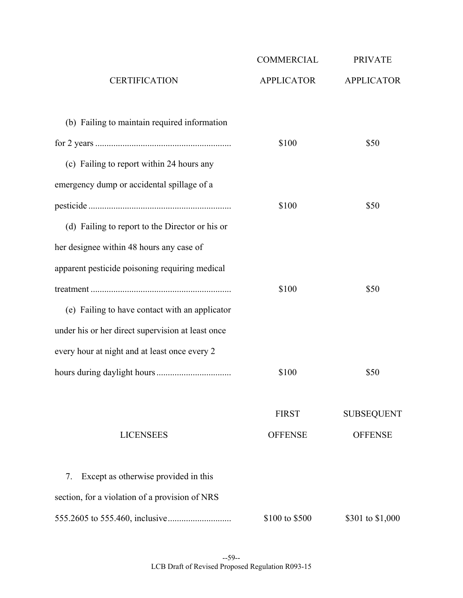|                                                   | <b>COMMERCIAL</b> | <b>PRIVATE</b>    |
|---------------------------------------------------|-------------------|-------------------|
| <b>CERTIFICATION</b>                              | <b>APPLICATOR</b> | <b>APPLICATOR</b> |
| (b) Failing to maintain required information      |                   |                   |
|                                                   | \$100             | \$50              |
| (c) Failing to report within 24 hours any         |                   |                   |
| emergency dump or accidental spillage of a        |                   |                   |
|                                                   | \$100             | \$50              |
| (d) Failing to report to the Director or his or   |                   |                   |
| her designee within 48 hours any case of          |                   |                   |
| apparent pesticide poisoning requiring medical    |                   |                   |
|                                                   | \$100             | \$50              |
| (e) Failing to have contact with an applicator    |                   |                   |
| under his or her direct supervision at least once |                   |                   |
| every hour at night and at least once every 2     |                   |                   |
|                                                   | \$100             | \$50              |
|                                                   | <b>FIRST</b>      | <b>SUBSEQUENT</b> |
| <b>LICENSEES</b>                                  | <b>OFFENSE</b>    | <b>OFFENSE</b>    |
| Except as otherwise provided in this<br>7.        |                   |                   |
| section, for a violation of a provision of NRS    |                   |                   |
|                                                   | \$100 to \$500    | \$301 to \$1,000  |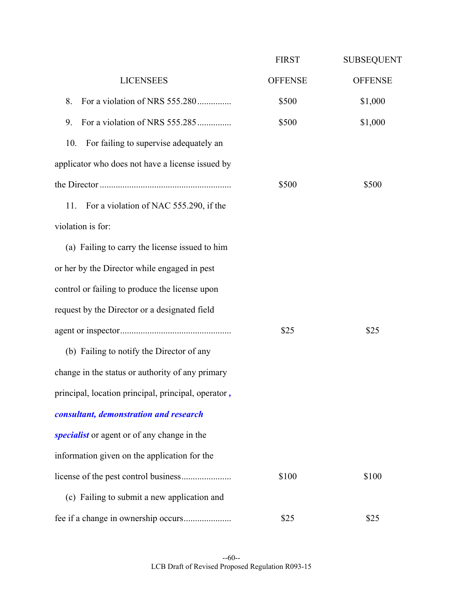|                                                     | <b>FIRST</b>   | <b>SUBSEQUENT</b> |
|-----------------------------------------------------|----------------|-------------------|
| <b>LICENSEES</b>                                    | <b>OFFENSE</b> | <b>OFFENSE</b>    |
| For a violation of NRS 555.280<br>8.                | \$500          | \$1,000           |
| For a violation of NRS 555.285<br>9.                | \$500          | \$1,000           |
| 10.<br>For failing to supervise adequately an       |                |                   |
| applicator who does not have a license issued by    |                |                   |
|                                                     | \$500          | \$500             |
| For a violation of NAC 555.290, if the<br>11.       |                |                   |
| violation is for:                                   |                |                   |
| (a) Failing to carry the license issued to him      |                |                   |
| or her by the Director while engaged in pest        |                |                   |
| control or failing to produce the license upon      |                |                   |
| request by the Director or a designated field       |                |                   |
|                                                     | \$25           | \$25              |
| (b) Failing to notify the Director of any           |                |                   |
| change in the status or authority of any primary    |                |                   |
| principal, location principal, principal, operator, |                |                   |
| consultant, demonstration and research              |                |                   |
| specialist or agent or of any change in the         |                |                   |
| information given on the application for the        |                |                   |
|                                                     | \$100          | \$100             |
| (c) Failing to submit a new application and         |                |                   |
|                                                     | \$25           | \$25              |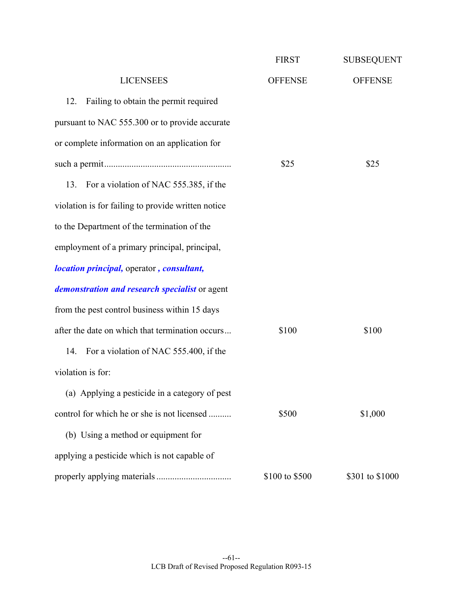|                                                    | <b>FIRST</b>   | <b>SUBSEQUENT</b> |
|----------------------------------------------------|----------------|-------------------|
| <b>LICENSEES</b>                                   | <b>OFFENSE</b> | <b>OFFENSE</b>    |
| Failing to obtain the permit required<br>12.       |                |                   |
| pursuant to NAC 555.300 or to provide accurate     |                |                   |
| or complete information on an application for      |                |                   |
|                                                    | \$25           | \$25              |
| For a violation of NAC 555.385, if the<br>13.      |                |                   |
| violation is for failing to provide written notice |                |                   |
| to the Department of the termination of the        |                |                   |
| employment of a primary principal, principal,      |                |                   |
| <i>location principal, operator, consultant,</i>   |                |                   |
| demonstration and research specialist or agent     |                |                   |
| from the pest control business within 15 days      |                |                   |
| after the date on which that termination occurs    | \$100          | \$100             |
| For a violation of NAC 555.400, if the<br>14.      |                |                   |
| violation is for:                                  |                |                   |
| (a) Applying a pesticide in a category of pest     |                |                   |
| control for which he or she is not licensed        | \$500          | \$1,000           |
| (b) Using a method or equipment for                |                |                   |
| applying a pesticide which is not capable of       |                |                   |
|                                                    | \$100 to \$500 | \$301 to \$1000   |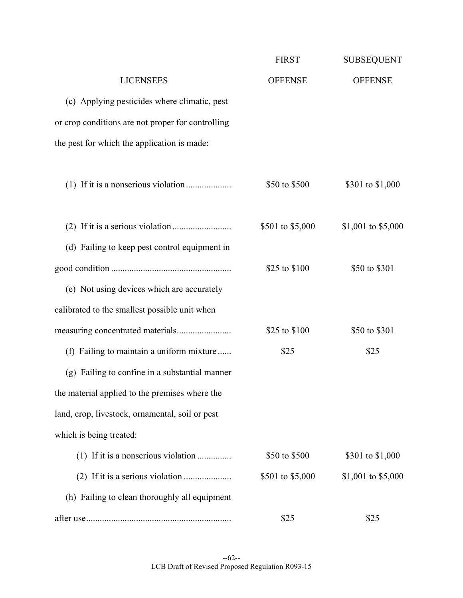|                                                   | <b>FIRST</b>     | <b>SUBSEQUENT</b>  |
|---------------------------------------------------|------------------|--------------------|
| <b>LICENSEES</b>                                  | <b>OFFENSE</b>   | <b>OFFENSE</b>     |
| (c) Applying pesticides where climatic, pest      |                  |                    |
| or crop conditions are not proper for controlling |                  |                    |
| the pest for which the application is made:       |                  |                    |
|                                                   | \$50 to \$500    | \$301 to \$1,000   |
|                                                   | \$501 to \$5,000 | \$1,001 to \$5,000 |
| (d) Failing to keep pest control equipment in     |                  |                    |
|                                                   | \$25 to \$100    | \$50 to \$301      |
| (e) Not using devices which are accurately        |                  |                    |
| calibrated to the smallest possible unit when     |                  |                    |
|                                                   | \$25 to \$100    | \$50 to \$301      |
| (f) Failing to maintain a uniform mixture         | \$25             | \$25               |
| (g) Failing to confine in a substantial manner    |                  |                    |
| the material applied to the premises where the    |                  |                    |
| land, crop, livestock, ornamental, soil or pest   |                  |                    |
| which is being treated:                           |                  |                    |
|                                                   | \$50 to \$500    | \$301 to \$1,000   |
|                                                   | \$501 to \$5,000 | \$1,001 to \$5,000 |
| (h) Failing to clean thoroughly all equipment     |                  |                    |
|                                                   | \$25             | \$25               |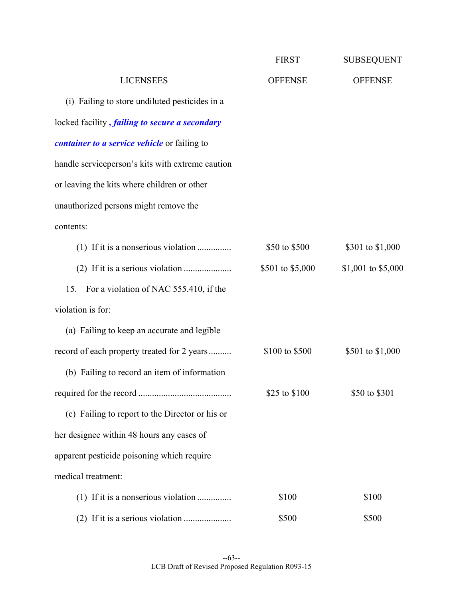|                                                       | <b>FIRST</b>     | <b>SUBSEQUENT</b>  |
|-------------------------------------------------------|------------------|--------------------|
| <b>LICENSEES</b>                                      | <b>OFFENSE</b>   | <b>OFFENSE</b>     |
| (i) Failing to store undiluted pesticides in a        |                  |                    |
| locked facility, <i>failing to secure a secondary</i> |                  |                    |
| <i>container to a service vehicle</i> or failing to   |                  |                    |
| handle serviceperson's kits with extreme caution      |                  |                    |
| or leaving the kits where children or other           |                  |                    |
| unauthorized persons might remove the                 |                  |                    |
| contents:                                             |                  |                    |
|                                                       | \$50 to \$500    | \$301 to \$1,000   |
|                                                       | \$501 to \$5,000 | \$1,001 to \$5,000 |
| For a violation of NAC 555.410, if the<br>15.         |                  |                    |
| violation is for:                                     |                  |                    |
| (a) Failing to keep an accurate and legible           |                  |                    |
| record of each property treated for 2 years           | \$100 to \$500   | \$501 to \$1,000   |
| (b) Failing to record an item of information          |                  |                    |
|                                                       | \$25 to $$100$   | \$50 to \$301      |
| (c) Failing to report to the Director or his or       |                  |                    |
| her designee within 48 hours any cases of             |                  |                    |
| apparent pesticide poisoning which require            |                  |                    |
| medical treatment:                                    |                  |                    |
|                                                       | \$100            | \$100              |
|                                                       | \$500            | \$500              |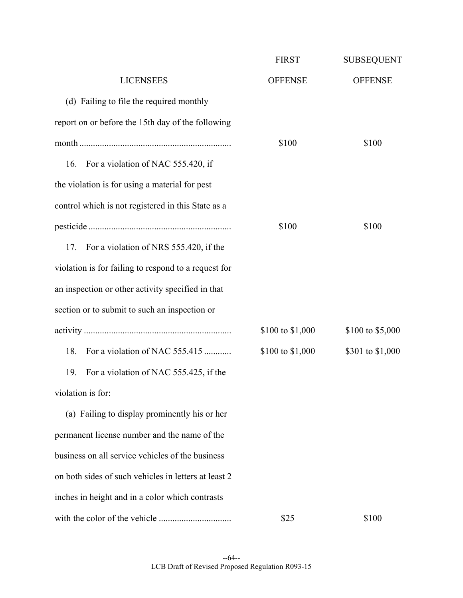|                                                      | <b>FIRST</b>     | <b>SUBSEQUENT</b> |
|------------------------------------------------------|------------------|-------------------|
| <b>LICENSEES</b>                                     | <b>OFFENSE</b>   | <b>OFFENSE</b>    |
| (d) Failing to file the required monthly             |                  |                   |
| report on or before the 15th day of the following    |                  |                   |
|                                                      | \$100            | \$100             |
| 16. For a violation of NAC 555.420, if               |                  |                   |
| the violation is for using a material for pest       |                  |                   |
| control which is not registered in this State as a   |                  |                   |
|                                                      | \$100            | \$100             |
| For a violation of NRS 555.420, if the<br>17.        |                  |                   |
| violation is for failing to respond to a request for |                  |                   |
| an inspection or other activity specified in that    |                  |                   |
| section or to submit to such an inspection or        |                  |                   |
|                                                      | \$100 to \$1,000 | \$100 to \$5,000  |
| For a violation of NAC 555.415<br>18.                | \$100 to \$1,000 | \$301 to \$1,000  |
| For a violation of NAC 555.425, if the<br>19.        |                  |                   |
| violation is for:                                    |                  |                   |
| (a) Failing to display prominently his or her        |                  |                   |
| permanent license number and the name of the         |                  |                   |
| business on all service vehicles of the business     |                  |                   |
| on both sides of such vehicles in letters at least 2 |                  |                   |
| inches in height and in a color which contrasts      |                  |                   |
|                                                      | \$25             | \$100             |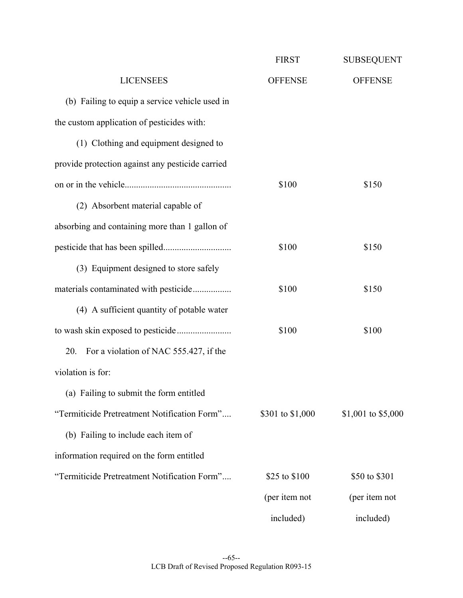|                                                  | <b>FIRST</b>     | <b>SUBSEQUENT</b>  |
|--------------------------------------------------|------------------|--------------------|
| <b>LICENSEES</b>                                 | <b>OFFENSE</b>   | <b>OFFENSE</b>     |
| (b) Failing to equip a service vehicle used in   |                  |                    |
| the custom application of pesticides with:       |                  |                    |
| (1) Clothing and equipment designed to           |                  |                    |
| provide protection against any pesticide carried |                  |                    |
|                                                  | \$100            | \$150              |
| (2) Absorbent material capable of                |                  |                    |
| absorbing and containing more than 1 gallon of   |                  |                    |
|                                                  | \$100            | \$150              |
| (3) Equipment designed to store safely           |                  |                    |
| materials contaminated with pesticide            | \$100            | \$150              |
| (4) A sufficient quantity of potable water       |                  |                    |
|                                                  | \$100            | \$100              |
| For a violation of NAC 555.427, if the<br>20.    |                  |                    |
| violation is for:                                |                  |                    |
| (a) Failing to submit the form entitled          |                  |                    |
| "Termiticide Pretreatment Notification Form"     | \$301 to \$1,000 | \$1,001 to \$5,000 |
| (b) Failing to include each item of              |                  |                    |
| information required on the form entitled        |                  |                    |
| "Termiticide Pretreatment Notification Form"     | \$25 to \$100    | \$50 to \$301      |
|                                                  | (per item not    | (per item not      |
|                                                  | included)        | included)          |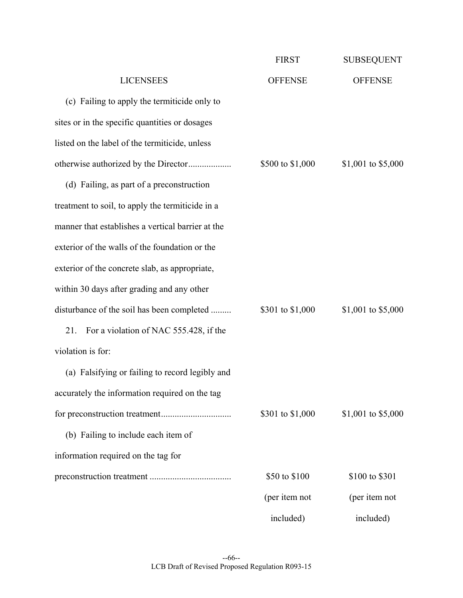|                                                   | <b>FIRST</b>     | <b>SUBSEQUENT</b>  |
|---------------------------------------------------|------------------|--------------------|
| <b>LICENSEES</b>                                  | <b>OFFENSE</b>   | <b>OFFENSE</b>     |
| (c) Failing to apply the termiticide only to      |                  |                    |
| sites or in the specific quantities or dosages    |                  |                    |
| listed on the label of the termiticide, unless    |                  |                    |
| otherwise authorized by the Director              | \$500 to \$1,000 | \$1,001 to \$5,000 |
| (d) Failing, as part of a preconstruction         |                  |                    |
| treatment to soil, to apply the termiticide in a  |                  |                    |
| manner that establishes a vertical barrier at the |                  |                    |
| exterior of the walls of the foundation or the    |                  |                    |
| exterior of the concrete slab, as appropriate,    |                  |                    |
| within 30 days after grading and any other        |                  |                    |
| disturbance of the soil has been completed        | \$301 to \$1,000 | \$1,001 to \$5,000 |
| 21.<br>For a violation of NAC 555.428, if the     |                  |                    |
| violation is for:                                 |                  |                    |
| (a) Falsifying or failing to record legibly and   |                  |                    |
| accurately the information required on the tag    |                  |                    |
|                                                   | \$301 to \$1,000 | \$1,001 to \$5,000 |
| (b) Failing to include each item of               |                  |                    |
| information required on the tag for               |                  |                    |
|                                                   | \$50 to \$100    | \$100 to \$301     |
|                                                   | (per item not    | (per item not      |
|                                                   | included)        | included)          |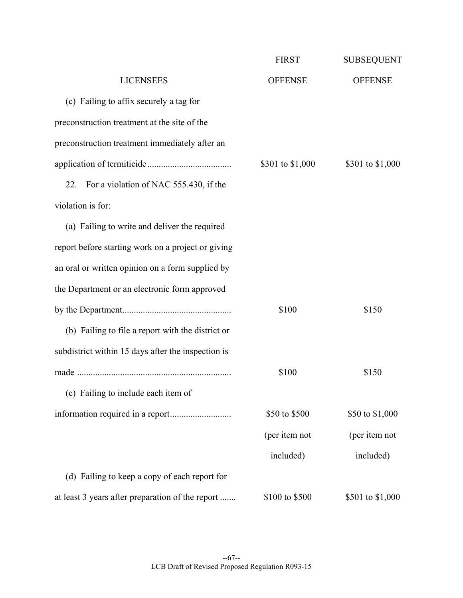|                                                    | <b>FIRST</b>     | <b>SUBSEQUENT</b> |
|----------------------------------------------------|------------------|-------------------|
| <b>LICENSEES</b>                                   | <b>OFFENSE</b>   | <b>OFFENSE</b>    |
| (c) Failing to affix securely a tag for            |                  |                   |
| preconstruction treatment at the site of the       |                  |                   |
| preconstruction treatment immediately after an     |                  |                   |
|                                                    | \$301 to \$1,000 | \$301 to \$1,000  |
| For a violation of NAC 555.430, if the<br>22.      |                  |                   |
| violation is for:                                  |                  |                   |
| (a) Failing to write and deliver the required      |                  |                   |
| report before starting work on a project or giving |                  |                   |
| an oral or written opinion on a form supplied by   |                  |                   |
| the Department or an electronic form approved      |                  |                   |
|                                                    | \$100            | \$150             |
| (b) Failing to file a report with the district or  |                  |                   |
| subdistrict within 15 days after the inspection is |                  |                   |
|                                                    | \$100            | \$150             |
| (c) Failing to include each item of                |                  |                   |
|                                                    | \$50 to \$500    | \$50 to \$1,000   |
|                                                    | (per item not    | (per item not     |
|                                                    | included)        | included)         |
| (d) Failing to keep a copy of each report for      |                  |                   |
| at least 3 years after preparation of the report   | \$100 to \$500   | \$501 to \$1,000  |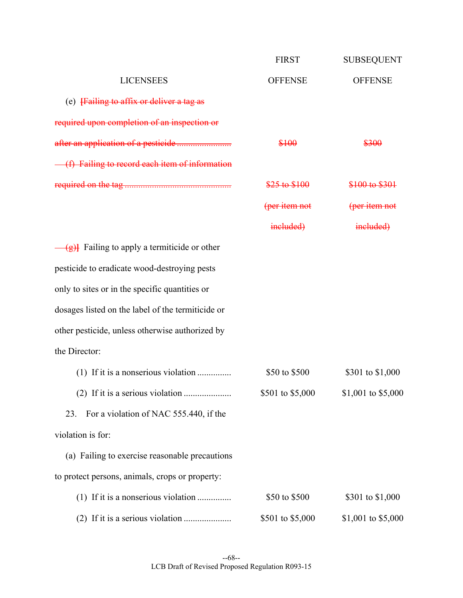|                                                       | <b>FIRST</b>     | <b>SUBSEQUENT</b>  |
|-------------------------------------------------------|------------------|--------------------|
| <b>LICENSEES</b>                                      | <b>OFFENSE</b>   | <b>OFFENSE</b>     |
| (e) Failing to affix or deliver a tag as              |                  |                    |
| required upon completion of an inspection or          |                  |                    |
|                                                       | \$100            | \$300              |
| (f) Failing to record each item of information        |                  |                    |
|                                                       | \$25 to \$100    | \$100 to \$301     |
|                                                       | (per item not    | (per item not      |
|                                                       | included)        | included)          |
| $\frac{g}{g}$ Failing to apply a termiticide or other |                  |                    |
| pesticide to eradicate wood-destroying pests          |                  |                    |
| only to sites or in the specific quantities or        |                  |                    |
| dosages listed on the label of the termiticide or     |                  |                    |
| other pesticide, unless otherwise authorized by       |                  |                    |
| the Director:                                         |                  |                    |
|                                                       | \$50 to \$500    | \$301 to \$1,000   |
|                                                       | \$501 to \$5,000 | \$1,001 to \$5,000 |
| For a violation of NAC 555.440, if the<br>23.         |                  |                    |
| violation is for:                                     |                  |                    |
| (a) Failing to exercise reasonable precautions        |                  |                    |
| to protect persons, animals, crops or property:       |                  |                    |
| (1) If it is a nonserious violation                   | \$50 to \$500    | \$301 to \$1,000   |
|                                                       | \$501 to \$5,000 | \$1,001 to \$5,000 |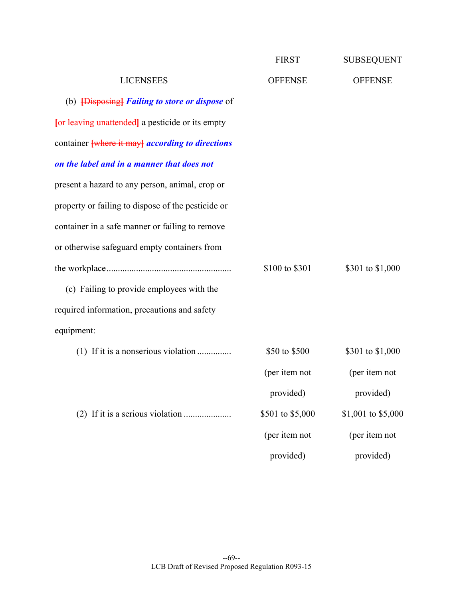|                                                       | <b>FIRST</b>     | <b>SUBSEQUENT</b>  |
|-------------------------------------------------------|------------------|--------------------|
| <b>LICENSEES</b>                                      | <b>OFFENSE</b>   | <b>OFFENSE</b>     |
| (b) <b>{Disposing}</b> Failing to store or dispose of |                  |                    |
| for leaving unattended a pesticide or its empty       |                  |                    |
| container where it may according to directions        |                  |                    |
| on the label and in a manner that does not            |                  |                    |
| present a hazard to any person, animal, crop or       |                  |                    |
| property or failing to dispose of the pesticide or    |                  |                    |
| container in a safe manner or failing to remove       |                  |                    |
| or otherwise safeguard empty containers from          |                  |                    |
|                                                       | \$100 to \$301   | \$301 to \$1,000   |
| (c) Failing to provide employees with the             |                  |                    |
| required information, precautions and safety          |                  |                    |
| equipment:                                            |                  |                    |
| (1) If it is a nonserious violation                   | \$50 to \$500    | \$301 to \$1,000   |
|                                                       | (per item not    | (per item not      |
|                                                       | provided)        | provided)          |
|                                                       | \$501 to \$5,000 | \$1,001 to \$5,000 |
|                                                       | (per item not    | (per item not      |
|                                                       | provided)        | provided)          |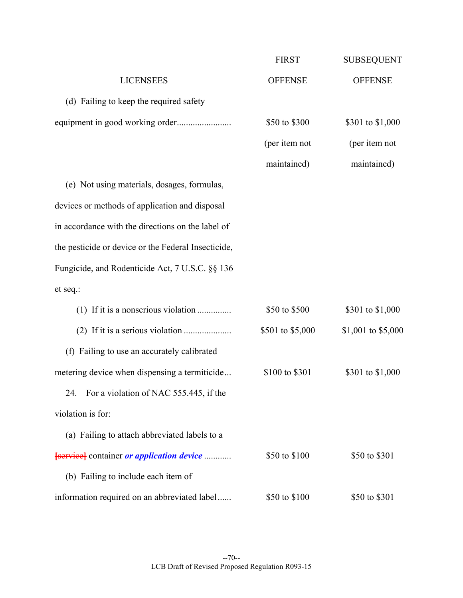|                                                         | <b>FIRST</b>     | <b>SUBSEQUENT</b>  |
|---------------------------------------------------------|------------------|--------------------|
| <b>LICENSEES</b>                                        | <b>OFFENSE</b>   | <b>OFFENSE</b>     |
| (d) Failing to keep the required safety                 |                  |                    |
|                                                         | \$50 to \$300    | \$301 to \$1,000   |
|                                                         | (per item not    | (per item not      |
|                                                         | maintained)      | maintained)        |
| (e) Not using materials, dosages, formulas,             |                  |                    |
| devices or methods of application and disposal          |                  |                    |
| in accordance with the directions on the label of       |                  |                    |
| the pesticide or device or the Federal Insecticide,     |                  |                    |
| Fungicide, and Rodenticide Act, 7 U.S.C. §§ 136         |                  |                    |
| et seq.:                                                |                  |                    |
| (1) If it is a nonserious violation                     | \$50 to \$500    | \$301 to \$1,000   |
|                                                         | \$501 to \$5,000 | \$1,001 to \$5,000 |
| (f) Failing to use an accurately calibrated             |                  |                    |
| metering device when dispensing a termiticide           | \$100 to \$301   | \$301 to \$1,000   |
| 24. For a violation of NAC 555.445, if the              |                  |                    |
| violation is for:                                       |                  |                    |
| (a) Failing to attach abbreviated labels to a           |                  |                    |
| <b>[service]</b> container <i>or application device</i> | \$50 to \$100    | \$50 to \$301      |
| (b) Failing to include each item of                     |                  |                    |
| information required on an abbreviated label            | \$50 to \$100    | \$50 to \$301      |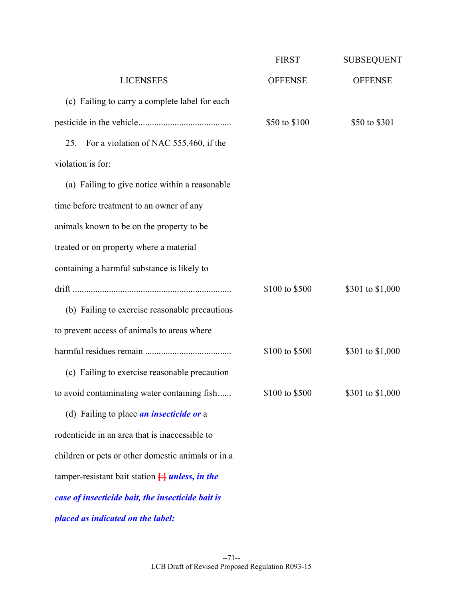|                                                            | <b>FIRST</b>   | <b>SUBSEQUENT</b> |
|------------------------------------------------------------|----------------|-------------------|
| <b>LICENSEES</b>                                           | <b>OFFENSE</b> | <b>OFFENSE</b>    |
| (c) Failing to carry a complete label for each             |                |                   |
|                                                            | \$50 to \$100  | \$50 to \$301     |
| For a violation of NAC 555.460, if the<br>25.              |                |                   |
| violation is for:                                          |                |                   |
| (a) Failing to give notice within a reasonable             |                |                   |
| time before treatment to an owner of any                   |                |                   |
| animals known to be on the property to be                  |                |                   |
| treated or on property where a material                    |                |                   |
| containing a harmful substance is likely to                |                |                   |
|                                                            | \$100 to \$500 | \$301 to \$1,000  |
| (b) Failing to exercise reasonable precautions             |                |                   |
| to prevent access of animals to areas where                |                |                   |
|                                                            | \$100 to \$500 | \$301 to \$1,000  |
| (c) Failing to exercise reasonable precaution              |                |                   |
| to avoid contaminating water containing fish               | \$100 to \$500 | \$301 to \$1,000  |
| (d) Failing to place <i>an insecticide or</i> a            |                |                   |
| rodenticide in an area that is inaccessible to             |                |                   |
| children or pets or other domestic animals or in a         |                |                   |
| tamper-resistant bait station $\frac{1}{1}$ unless, in the |                |                   |
| case of insecticide bait, the insecticide bait is          |                |                   |
| placed as indicated on the label:                          |                |                   |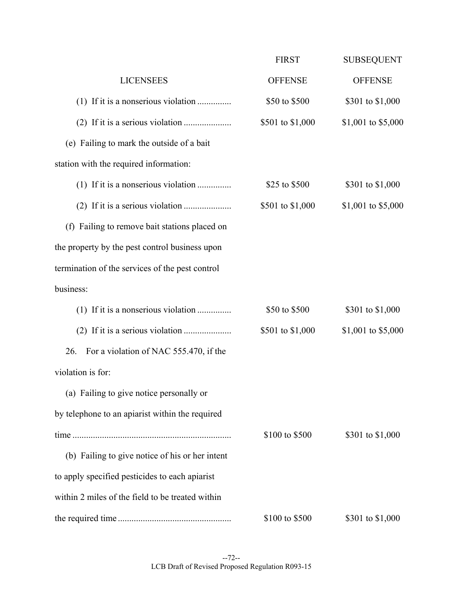|                                                  | <b>FIRST</b>     | <b>SUBSEQUENT</b>  |
|--------------------------------------------------|------------------|--------------------|
| <b>LICENSEES</b>                                 | <b>OFFENSE</b>   | <b>OFFENSE</b>     |
| (1) If it is a nonserious violation              | \$50 to \$500    | \$301 to \$1,000   |
|                                                  | \$501 to \$1,000 | \$1,001 to \$5,000 |
| (e) Failing to mark the outside of a bait        |                  |                    |
| station with the required information:           |                  |                    |
| (1) If it is a nonserious violation              | \$25 to \$500    | \$301 to \$1,000   |
|                                                  | \$501 to \$1,000 | \$1,001 to \$5,000 |
| (f) Failing to remove bait stations placed on    |                  |                    |
| the property by the pest control business upon   |                  |                    |
| termination of the services of the pest control  |                  |                    |
| business:                                        |                  |                    |
| $(1)$ If it is a nonserious violation            | \$50 to \$500    | \$301 to \$1,000   |
|                                                  | \$501 to \$1,000 | \$1,001 to \$5,000 |
| For a violation of NAC 555.470, if the<br>26.    |                  |                    |
| violation is for:                                |                  |                    |
| (a) Failing to give notice personally or         |                  |                    |
| by telephone to an apiarist within the required  |                  |                    |
|                                                  | \$100 to \$500   | \$301 to \$1,000   |
| (b) Failing to give notice of his or her intent  |                  |                    |
| to apply specified pesticides to each apiarist   |                  |                    |
| within 2 miles of the field to be treated within |                  |                    |
|                                                  | \$100 to \$500   | \$301 to \$1,000   |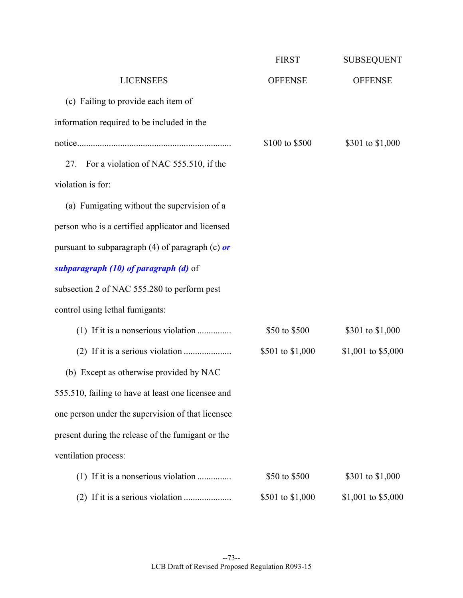|                                                    | <b>FIRST</b>     | <b>SUBSEQUENT</b>  |
|----------------------------------------------------|------------------|--------------------|
| <b>LICENSEES</b>                                   | <b>OFFENSE</b>   | <b>OFFENSE</b>     |
| (c) Failing to provide each item of                |                  |                    |
| information required to be included in the         |                  |                    |
|                                                    | \$100 to \$500   | \$301 to \$1,000   |
| For a violation of NAC 555.510, if the<br>27.      |                  |                    |
| violation is for:                                  |                  |                    |
| (a) Fumigating without the supervision of a        |                  |                    |
| person who is a certified applicator and licensed  |                  |                    |
| pursuant to subparagraph (4) of paragraph (c) $or$ |                  |                    |
| subparagraph (10) of paragraph (d) of              |                  |                    |
| subsection 2 of NAC 555.280 to perform pest        |                  |                    |
| control using lethal fumigants:                    |                  |                    |
| (1) If it is a nonserious violation                | \$50 to \$500    | \$301 to \$1,000   |
|                                                    | \$501 to \$1,000 | \$1,001 to \$5,000 |
| (b) Except as otherwise provided by NAC            |                  |                    |
| 555.510, failing to have at least one licensee and |                  |                    |
| one person under the supervision of that licensee  |                  |                    |
| present during the release of the fumigant or the  |                  |                    |
| ventilation process:                               |                  |                    |
| $(1)$ If it is a nonserious violation              | \$50 to \$500    | \$301 to \$1,000   |
|                                                    | \$501 to \$1,000 | \$1,001 to \$5,000 |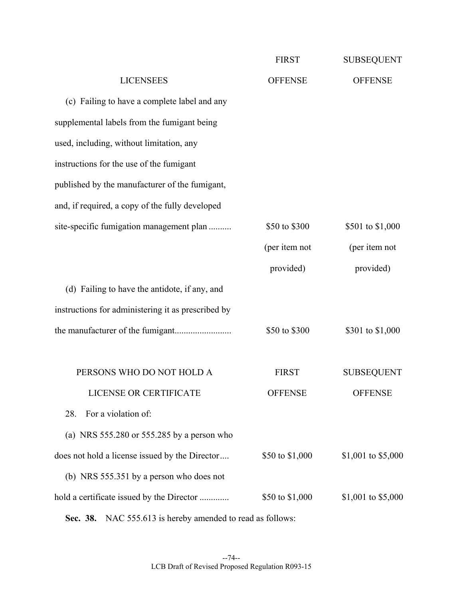|                                                    | <b>FIRST</b>    | <b>SUBSEQUENT</b>  |
|----------------------------------------------------|-----------------|--------------------|
| <b>LICENSEES</b>                                   | <b>OFFENSE</b>  | <b>OFFENSE</b>     |
| (c) Failing to have a complete label and any       |                 |                    |
| supplemental labels from the fumigant being        |                 |                    |
| used, including, without limitation, any           |                 |                    |
| instructions for the use of the fumigant           |                 |                    |
| published by the manufacturer of the fumigant,     |                 |                    |
| and, if required, a copy of the fully developed    |                 |                    |
| site-specific fumigation management plan           | \$50 to \$300   | \$501 to \$1,000   |
|                                                    | (per item not   | (per item not      |
|                                                    | provided)       | provided)          |
| (d) Failing to have the antidote, if any, and      |                 |                    |
| instructions for administering it as prescribed by |                 |                    |
|                                                    | \$50 to \$300   | \$301 to \$1,000   |
|                                                    |                 |                    |
| PERSONS WHO DO NOT HOLD A                          | <b>FIRST</b>    | <b>SUBSEQUENT</b>  |
| LICENSE OR CERTIFICATE                             | <b>OFFENSE</b>  | <b>OFFENSE</b>     |
| For a violation of:<br>28.                         |                 |                    |
| (a) NRS $555.280$ or $555.285$ by a person who     |                 |                    |
| does not hold a license issued by the Director     | \$50 to \$1,000 | \$1,001 to \$5,000 |
| (b) NRS 555.351 by a person who does not           |                 |                    |
| hold a certificate issued by the Director          | \$50 to \$1,000 | \$1,001 to \$5,000 |
|                                                    |                 |                    |

 **Sec. 38.** NAC 555.613 is hereby amended to read as follows: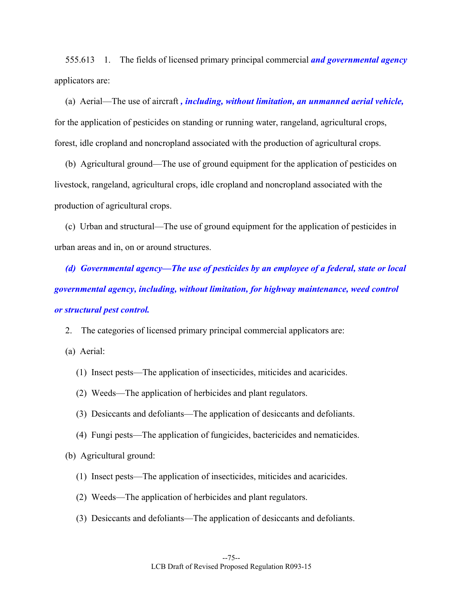555.613 1. The fields of licensed primary principal commercial *and governmental agency*  applicators are:

 (a) Aerial—The use of aircraft *, including, without limitation, an unmanned aerial vehicle,* for the application of pesticides on standing or running water, rangeland, agricultural crops, forest, idle cropland and noncropland associated with the production of agricultural crops.

 (b) Agricultural ground—The use of ground equipment for the application of pesticides on livestock, rangeland, agricultural crops, idle cropland and noncropland associated with the production of agricultural crops.

 (c) Urban and structural—The use of ground equipment for the application of pesticides in urban areas and in, on or around structures.

 *(d) Governmental agency—The use of pesticides by an employee of a federal, state or local governmental agency, including, without limitation, for highway maintenance, weed control or structural pest control.* 

2. The categories of licensed primary principal commercial applicators are:

(a) Aerial:

- (1) Insect pests—The application of insecticides, miticides and acaricides.
- (2) Weeds—The application of herbicides and plant regulators.
- (3) Desiccants and defoliants—The application of desiccants and defoliants.
- (4) Fungi pests—The application of fungicides, bactericides and nematicides.

(b) Agricultural ground:

- (1) Insect pests—The application of insecticides, miticides and acaricides.
- (2) Weeds—The application of herbicides and plant regulators.
- (3) Desiccants and defoliants—The application of desiccants and defoliants.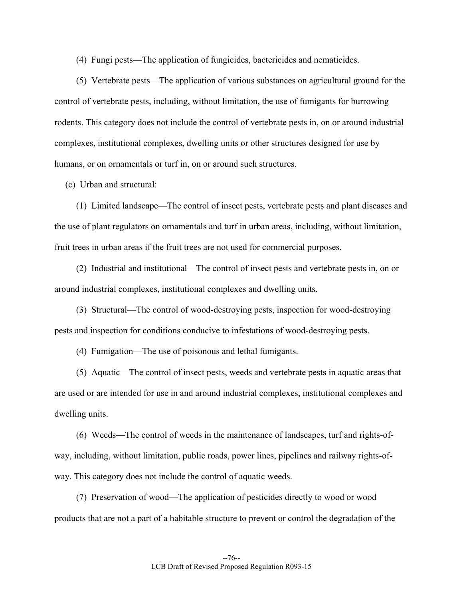(4) Fungi pests—The application of fungicides, bactericides and nematicides.

 (5) Vertebrate pests—The application of various substances on agricultural ground for the control of vertebrate pests, including, without limitation, the use of fumigants for burrowing rodents. This category does not include the control of vertebrate pests in, on or around industrial complexes, institutional complexes, dwelling units or other structures designed for use by humans, or on ornamentals or turf in, on or around such structures.

(c) Urban and structural:

 (1) Limited landscape—The control of insect pests, vertebrate pests and plant diseases and the use of plant regulators on ornamentals and turf in urban areas, including, without limitation, fruit trees in urban areas if the fruit trees are not used for commercial purposes.

 (2) Industrial and institutional—The control of insect pests and vertebrate pests in, on or around industrial complexes, institutional complexes and dwelling units.

 (3) Structural—The control of wood-destroying pests, inspection for wood-destroying pests and inspection for conditions conducive to infestations of wood-destroying pests.

(4) Fumigation—The use of poisonous and lethal fumigants.

 (5) Aquatic—The control of insect pests, weeds and vertebrate pests in aquatic areas that are used or are intended for use in and around industrial complexes, institutional complexes and dwelling units.

 (6) Weeds—The control of weeds in the maintenance of landscapes, turf and rights-ofway, including, without limitation, public roads, power lines, pipelines and railway rights-ofway. This category does not include the control of aquatic weeds.

 (7) Preservation of wood—The application of pesticides directly to wood or wood products that are not a part of a habitable structure to prevent or control the degradation of the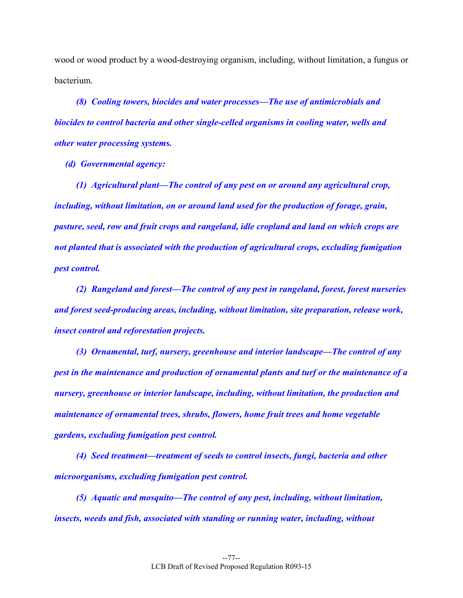wood or wood product by a wood-destroying organism, including, without limitation, a fungus or bacterium.

 *(8) Cooling towers, biocides and water processes—The use of antimicrobials and biocides to control bacteria and other single-celled organisms in cooling water, wells and other water processing systems.* 

 *(d) Governmental agency:* 

 *(1) Agricultural plant—The control of any pest on or around any agricultural crop, including, without limitation, on or around land used for the production of forage, grain, pasture, seed, row and fruit crops and rangeland, idle cropland and land on which crops are not planted that is associated with the production of agricultural crops, excluding fumigation pest control.* 

 *(2) Rangeland and forest—The control of any pest in rangeland, forest, forest nurseries and forest seed-producing areas, including, without limitation, site preparation, release work, insect control and reforestation projects.* 

 *(3) Ornamental, turf, nursery, greenhouse and interior landscape—The control of any pest in the maintenance and production of ornamental plants and turf or the maintenance of a nursery, greenhouse or interior landscape, including, without limitation, the production and maintenance of ornamental trees, shrubs, flowers, home fruit trees and home vegetable gardens, excluding fumigation pest control.* 

 *(4) Seed treatment—treatment of seeds to control insects, fungi, bacteria and other microorganisms, excluding fumigation pest control.* 

 *(5) Aquatic and mosquito—The control of any pest, including, without limitation, insects, weeds and fish, associated with standing or running water, including, without*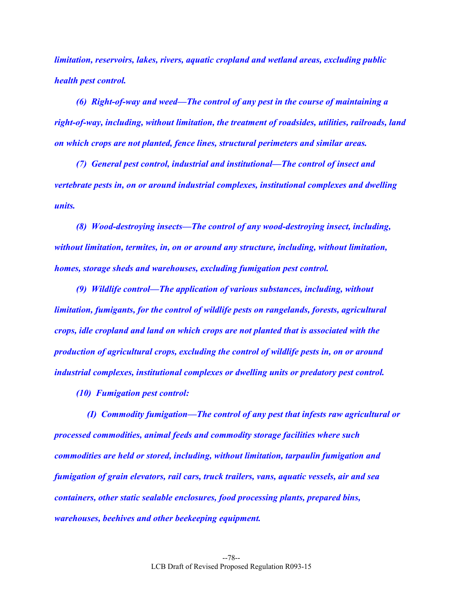*limitation, reservoirs, lakes, rivers, aquatic cropland and wetland areas, excluding public health pest control.* 

 *(6) Right-of-way and weed—The control of any pest in the course of maintaining a right-of-way, including, without limitation, the treatment of roadsides, utilities, railroads, land on which crops are not planted, fence lines, structural perimeters and similar areas.* 

 *(7) General pest control, industrial and institutional—The control of insect and vertebrate pests in, on or around industrial complexes, institutional complexes and dwelling units.* 

 *(8) Wood-destroying insects—The control of any wood-destroying insect, including, without limitation, termites, in, on or around any structure, including, without limitation, homes, storage sheds and warehouses, excluding fumigation pest control.* 

 *(9) Wildlife control—The application of various substances, including, without limitation, fumigants, for the control of wildlife pests on rangelands, forests, agricultural crops, idle cropland and land on which crops are not planted that is associated with the production of agricultural crops, excluding the control of wildlife pests in, on or around industrial complexes, institutional complexes or dwelling units or predatory pest control.* 

 *(10) Fumigation pest control:* 

 *(I) Commodity fumigation—The control of any pest that infests raw agricultural or processed commodities, animal feeds and commodity storage facilities where such commodities are held or stored, including, without limitation, tarpaulin fumigation and fumigation of grain elevators, rail cars, truck trailers, vans, aquatic vessels, air and sea containers, other static sealable enclosures, food processing plants, prepared bins, warehouses, beehives and other beekeeping equipment.*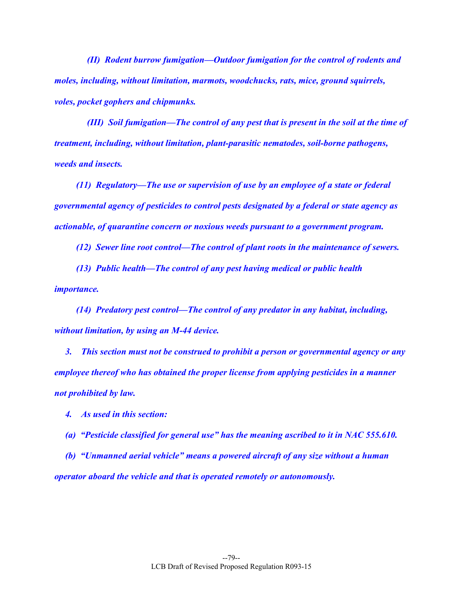*(II) Rodent burrow fumigation—Outdoor fumigation for the control of rodents and moles, including, without limitation, marmots, woodchucks, rats, mice, ground squirrels, voles, pocket gophers and chipmunks.* 

 *(III) Soil fumigation—The control of any pest that is present in the soil at the time of treatment, including, without limitation, plant-parasitic nematodes, soil-borne pathogens, weeds and insects.* 

 *(11) Regulatory—The use or supervision of use by an employee of a state or federal governmental agency of pesticides to control pests designated by a federal or state agency as actionable, of quarantine concern or noxious weeds pursuant to a government program.* 

 *(12) Sewer line root control—The control of plant roots in the maintenance of sewers.* 

 *(13) Public health—The control of any pest having medical or public health importance.* 

 *(14) Predatory pest control—The control of any predator in any habitat, including, without limitation, by using an M-44 device.* 

 *3. This section must not be construed to prohibit a person or governmental agency or any employee thereof who has obtained the proper license from applying pesticides in a manner not prohibited by law.* 

 *4. As used in this section:* 

 *(a) "Pesticide classified for general use" has the meaning ascribed to it in NAC 555.610.* 

 *(b) "Unmanned aerial vehicle" means a powered aircraft of any size without a human operator aboard the vehicle and that is operated remotely or autonomously.*